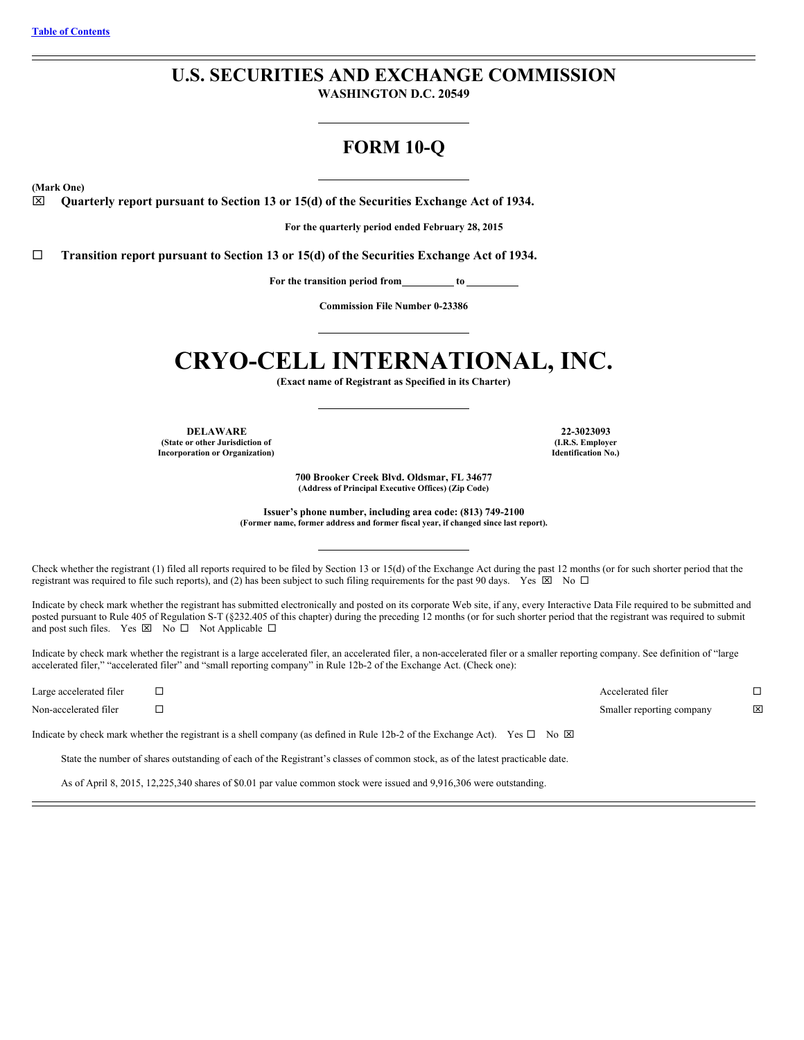# **U.S. SECURITIES AND EXCHANGE COMMISSION**

**WASHINGTON D.C. 20549**

# **FORM 10-Q**

**(Mark One)**

x **Quarterly report pursuant to Section 13 or 15(d) of the Securities Exchange Act of 1934.**

**For the quarterly period ended February 28, 2015**

¨ **Transition report pursuant to Section 13 or 15(d) of the Securities Exchange Act of 1934.**

**For the transition period from to**

**Commission File Number 0-23386**

# **CRYO-CELL INTERNATIONAL, INC.**

**(Exact name of Registrant as Specified in its Charter)**

**DELAWARE 22-3023093 (State or other Jurisdiction of Incorporation or Organization)**

**(I.R.S. Employer Identification No.)**

**700 Brooker Creek Blvd. Oldsmar, FL 34677 (Address of Principal Executive Offices) (Zip Code)**

**Issuer's phone number, including area code: (813) 749-2100 (Former name, former address and former fiscal year, if changed since last report).**

Check whether the registrant (1) filed all reports required to be filed by Section 13 or 15(d) of the Exchange Act during the past 12 months (or for such shorter period that the registrant was required to file such reports), and (2) has been subject to such filing requirements for the past 90 days. Yes  $\boxtimes$  No  $\Box$ 

Indicate by check mark whether the registrant has submitted electronically and posted on its corporate Web site, if any, every Interactive Data File required to be submitted and posted pursuant to Rule 405 of Regulation S-T (§232.405 of this chapter) during the preceding 12 months (or for such shorter period that the registrant was required to submit and post such files. Yes  $\boxtimes$  No  $\Box$  Not Applicable  $\Box$ 

Indicate by check mark whether the registrant is a large accelerated filer, an accelerated filer, a non-accelerated filer or a smaller reporting company. See definition of "large accelerated filer," "accelerated filer" and "small reporting company" in Rule 12b-2 of the Exchange Act. (Check one):

Large accelerated filer  $\Box$ 

Non-accelerated filer ¨ Smaller reporting company x

Indicate by check mark whether the registrant is a shell company (as defined in Rule 12b-2 of the Exchange Act). Yes  $\Box$  No  $\boxtimes$ 

State the number of shares outstanding of each of the Registrant's classes of common stock, as of the latest practicable date.

As of April 8, 2015, 12,225,340 shares of \$0.01 par value common stock were issued and 9,916,306 were outstanding.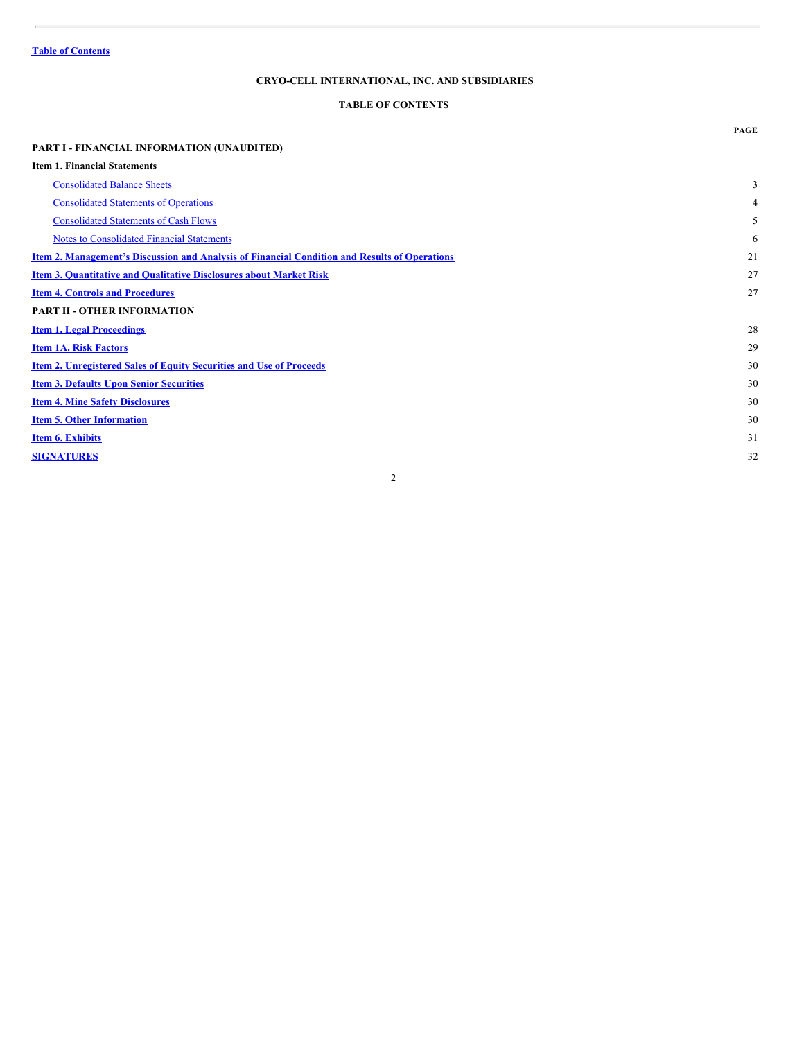# <span id="page-1-0"></span>**TABLE OF CONTENTS**

|                                                                                                      | <b>PAGE</b>    |
|------------------------------------------------------------------------------------------------------|----------------|
| PART I - FINANCIAL INFORMATION (UNAUDITED)                                                           |                |
| <b>Item 1. Financial Statements</b>                                                                  |                |
| <b>Consolidated Balance Sheets</b>                                                                   | 3              |
| <b>Consolidated Statements of Operations</b>                                                         | $\overline{4}$ |
| <b>Consolidated Statements of Cash Flows</b>                                                         | 5              |
| <b>Notes to Consolidated Financial Statements</b>                                                    | 6              |
| <u>Item 2. Management's Discussion and Analysis of Financial Condition and Results of Operations</u> | 21             |
| <b>Item 3. Quantitative and Qualitative Disclosures about Market Risk</b>                            | 27             |
| <b>Item 4. Controls and Procedures</b>                                                               | 27             |
| <b>PART II - OTHER INFORMATION</b>                                                                   |                |
| <b>Item 1. Legal Proceedings</b>                                                                     | 28             |
| <b>Item 1A. Risk Factors</b>                                                                         | 29             |
| <b>Item 2. Unregistered Sales of Equity Securities and Use of Proceeds</b>                           | 30             |
| <b>Item 3. Defaults Upon Senior Securities</b>                                                       | 30             |
| <b>Item 4. Mine Safety Disclosures</b>                                                               | 30             |
| <b>Item 5. Other Information</b>                                                                     | 30             |
| <b>Item 6. Exhibits</b>                                                                              | 31             |
| <b>SIGNATURES</b>                                                                                    | 32             |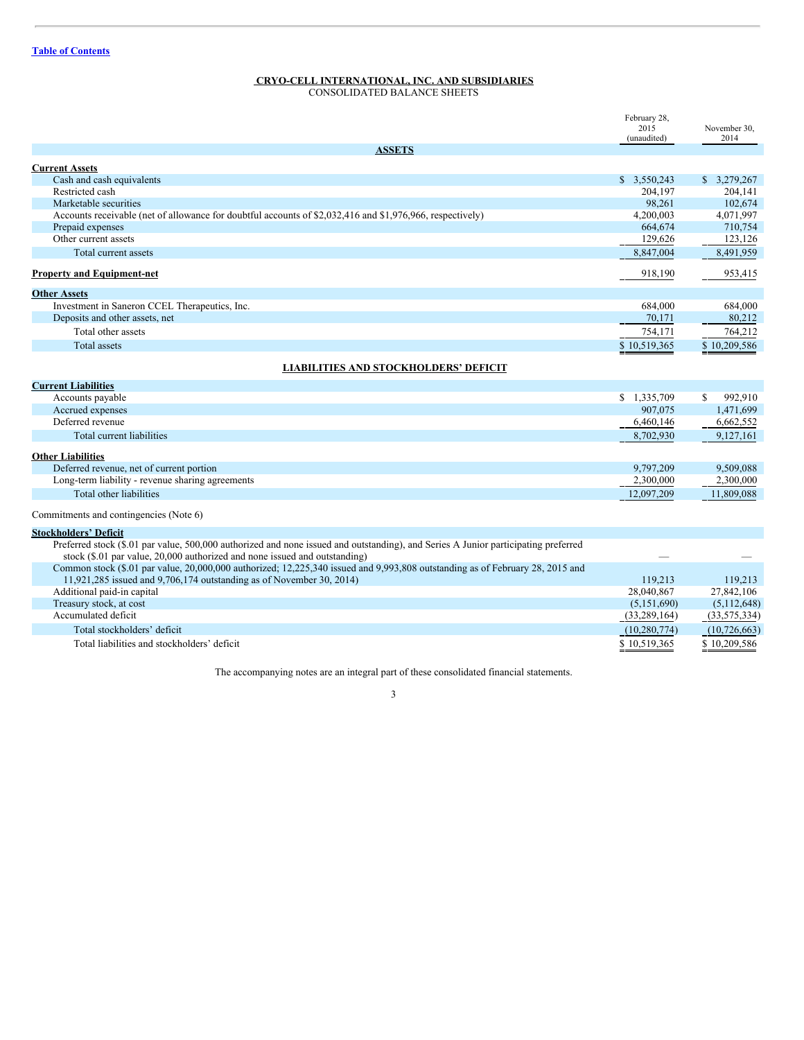<span id="page-2-0"></span>CONSOLIDATED BALANCE SHEETS

|                                                                                                                                                                                                                  | February 28,<br>2015<br>(unaudited) | November 30,<br>2014 |
|------------------------------------------------------------------------------------------------------------------------------------------------------------------------------------------------------------------|-------------------------------------|----------------------|
| <b>ASSETS</b>                                                                                                                                                                                                    |                                     |                      |
| <b>Current Assets</b>                                                                                                                                                                                            |                                     |                      |
| Cash and cash equivalents                                                                                                                                                                                        | \$3,550,243                         | \$3.279.267          |
| Restricted cash                                                                                                                                                                                                  | 204.197                             | 204.141              |
| Marketable securities                                                                                                                                                                                            | 98,261                              | 102,674              |
| Accounts receivable (net of allowance for doubtful accounts of \$2,032,416 and \$1,976,966, respectively)                                                                                                        | 4,200,003                           | 4,071,997            |
| Prepaid expenses                                                                                                                                                                                                 | 664,674                             | 710,754              |
| Other current assets                                                                                                                                                                                             | 129,626                             | 123,126              |
| Total current assets                                                                                                                                                                                             | 8,847,004                           | 8,491,959            |
| <b>Property and Equipment-net</b>                                                                                                                                                                                | 918,190                             | 953,415              |
| <b>Other Assets</b>                                                                                                                                                                                              |                                     |                      |
| Investment in Saneron CCEL Therapeutics, Inc.                                                                                                                                                                    | 684,000                             | 684,000              |
| Deposits and other assets, net                                                                                                                                                                                   | 70,171                              | 80,212               |
| Total other assets                                                                                                                                                                                               | 754,171                             | 764,212              |
| <b>Total assets</b>                                                                                                                                                                                              | \$10,519,365                        | \$10,209,586         |
| <b>LIABILITIES AND STOCKHOLDERS' DEFICIT</b>                                                                                                                                                                     |                                     |                      |
| <b>Current Liabilities</b>                                                                                                                                                                                       |                                     |                      |
| Accounts payable                                                                                                                                                                                                 | \$1,335,709                         | 992,910<br>\$        |
| Accrued expenses                                                                                                                                                                                                 | 907,075                             | 1,471,699            |
| Deferred revenue                                                                                                                                                                                                 | 6,460,146                           | 6,662,552            |
| Total current liabilities                                                                                                                                                                                        | 8,702,930                           | 9,127,161            |
| <b>Other Liabilities</b>                                                                                                                                                                                         |                                     |                      |
| Deferred revenue, net of current portion                                                                                                                                                                         | 9.797.209                           | 9.509.088            |
| Long-term liability - revenue sharing agreements                                                                                                                                                                 | 2,300,000                           | 2,300,000            |
| Total other liabilities                                                                                                                                                                                          | 12,097,209                          | 11,809,088           |
| Commitments and contingencies (Note 6)                                                                                                                                                                           |                                     |                      |
| <b>Stockholders' Deficit</b>                                                                                                                                                                                     |                                     |                      |
| Preferred stock (\$.01 par value, 500,000 authorized and none issued and outstanding), and Series A Junior participating preferred<br>stock (\$.01 par value, 20,000 authorized and none issued and outstanding) |                                     |                      |
| Common stock (\$.01 par value, 20,000,000 authorized; 12,225,340 issued and 9,993,808 outstanding as of February 28, 2015 and<br>11,921,285 issued and 9,706,174 outstanding as of November 30, 2014)            |                                     | 119,213              |
| Additional paid-in capital                                                                                                                                                                                       | 119,213<br>28,040,867               | 27,842,106           |
| Treasury stock, at cost                                                                                                                                                                                          | (5,151,690)                         | (5,112,648)          |
| Accumulated deficit                                                                                                                                                                                              | (33, 289, 164)                      | (33, 575, 334)       |
| Total stockholders' deficit                                                                                                                                                                                      | (10, 280, 774)                      | (10, 726, 663)       |
| Total liabilities and stockholders' deficit                                                                                                                                                                      | \$10.519.365                        | \$10.209.586         |
|                                                                                                                                                                                                                  |                                     |                      |

The accompanying notes are an integral part of these consolidated financial statements.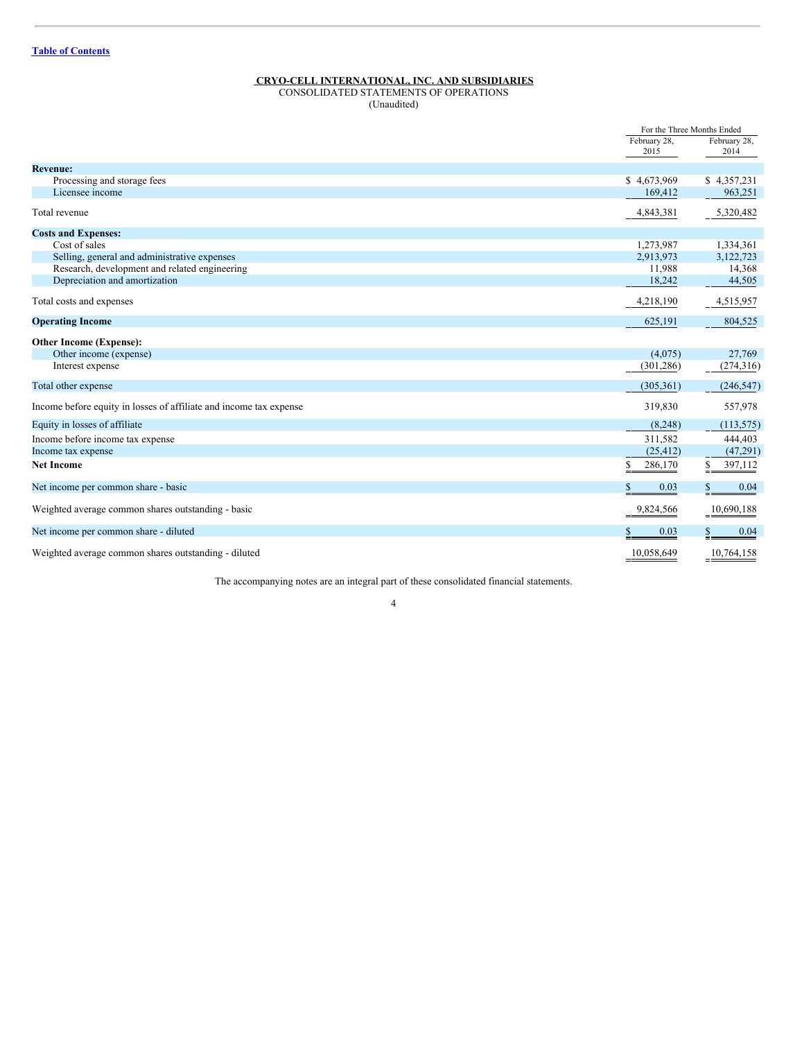# <span id="page-3-0"></span>CONSOLIDATED STATEMENTS OF OPERATIONS

(Unaudited)

|                                                                    |               | For the Three Months Ended |
|--------------------------------------------------------------------|---------------|----------------------------|
|                                                                    | February 28,  | February 28,               |
|                                                                    | 2015          | 2014                       |
| <b>Revenue:</b>                                                    |               |                            |
| Processing and storage fees                                        | \$4,673,969   | \$4,357,231                |
| Licensee income                                                    | 169,412       | 963,251                    |
| Total revenue                                                      | 4,843,381     | 5,320,482                  |
| <b>Costs and Expenses:</b>                                         |               |                            |
| Cost of sales                                                      | 1,273,987     | 1,334,361                  |
| Selling, general and administrative expenses                       | 2,913,973     | 3,122,723                  |
| Research, development and related engineering                      | 11,988        | 14,368                     |
| Depreciation and amortization                                      | 18,242        | 44,505                     |
| Total costs and expenses                                           | 4,218,190     | 4,515,957                  |
| <b>Operating Income</b>                                            | 625,191       | 804,525                    |
| <b>Other Income (Expense):</b>                                     |               |                            |
| Other income (expense)                                             | (4,075)       | 27,769                     |
| Interest expense                                                   | (301, 286)    | (274,316)                  |
| Total other expense                                                | (305, 361)    | (246, 547)                 |
| Income before equity in losses of affiliate and income tax expense | 319,830       | 557,978                    |
| Equity in losses of affiliate                                      | (8,248)       | (113, 575)                 |
| Income before income tax expense                                   | 311,582       | 444,403                    |
| Income tax expense                                                 | (25, 412)     | (47,291)                   |
| <b>Net Income</b>                                                  | \$<br>286,170 | 397,112<br>\$              |
| Net income per common share - basic                                | 0.03<br>S     | 0.04                       |
| Weighted average common shares outstanding - basic                 | 9,824,566     | 10,690,188                 |
| Net income per common share - diluted                              | 0.03          | 0.04                       |
| Weighted average common shares outstanding - diluted               | 10,058,649    | 10,764,158                 |

The accompanying notes are an integral part of these consolidated financial statements.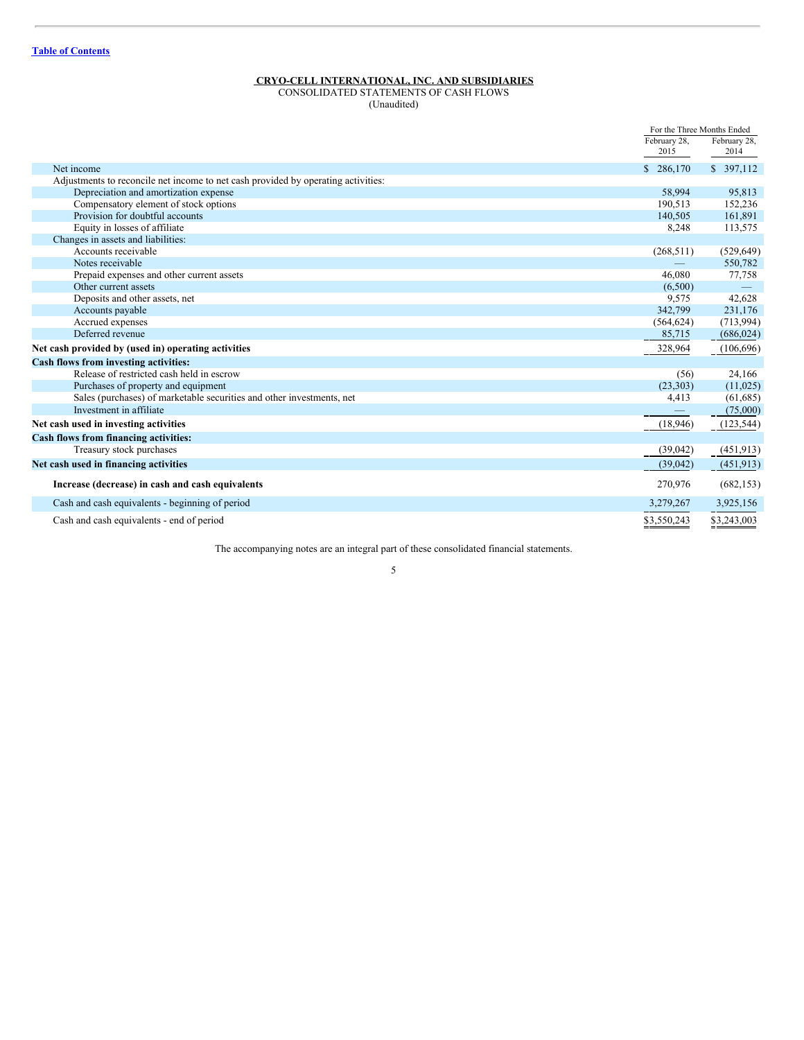# <span id="page-4-0"></span>CONSOLIDATED STATEMENTS OF CASH FLOWS

(Unaudited)

|                                                                                   |              | For the Three Months Ended |
|-----------------------------------------------------------------------------------|--------------|----------------------------|
|                                                                                   | February 28, | February 28,               |
|                                                                                   | 2015         | 2014                       |
| Net income                                                                        | \$286,170    | \$ 397,112                 |
| Adjustments to reconcile net income to net cash provided by operating activities: |              |                            |
| Depreciation and amortization expense                                             | 58.994       | 95,813                     |
| Compensatory element of stock options                                             | 190.513      | 152,236                    |
| Provision for doubtful accounts                                                   | 140.505      | 161,891                    |
| Equity in losses of affiliate                                                     | 8,248        | 113,575                    |
| Changes in assets and liabilities:                                                |              |                            |
| Accounts receivable                                                               | (268, 511)   | (529, 649)                 |
| Notes receivable                                                                  |              | 550,782                    |
| Prepaid expenses and other current assets                                         | 46.080       | 77,758                     |
| Other current assets                                                              | (6,500)      |                            |
| Deposits and other assets, net                                                    | 9,575        | 42,628                     |
| Accounts payable                                                                  | 342,799      | 231,176                    |
| Accrued expenses                                                                  | (564, 624)   | (713, 994)                 |
| Deferred revenue                                                                  | 85,715       | (686, 024)                 |
| Net cash provided by (used in) operating activities                               | 328,964      | (106, 696)                 |
| <b>Cash flows from investing activities:</b>                                      |              |                            |
| Release of restricted cash held in escrow                                         | (56)         | 24,166                     |
| Purchases of property and equipment                                               | (23,303)     | (11,025)                   |
| Sales (purchases) of marketable securities and other investments, net             | 4,413        | (61, 685)                  |
| Investment in affiliate                                                           |              | (75,000)                   |
| Net cash used in investing activities                                             | (18, 946)    | (123, 544)                 |
| Cash flows from financing activities:                                             |              |                            |
| Treasury stock purchases                                                          | (39, 042)    | (451, 913)                 |
| Net cash used in financing activities                                             | (39,042)     | (451, 913)                 |
| Increase (decrease) in cash and cash equivalents                                  | 270,976      | (682, 153)                 |
| Cash and cash equivalents - beginning of period                                   | 3,279,267    | 3,925,156                  |
| Cash and cash equivalents - end of period                                         | \$3,550,243  | \$3,243,003                |

The accompanying notes are an integral part of these consolidated financial statements.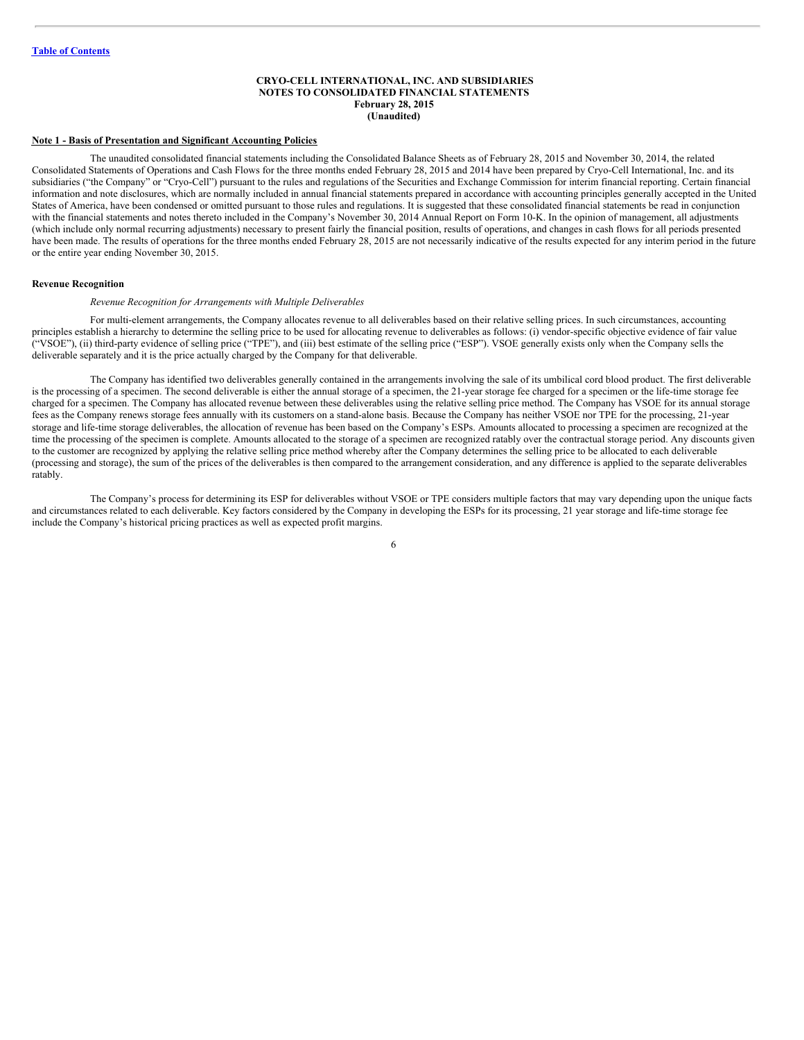#### <span id="page-5-0"></span>**CRYO-CELL INTERNATIONAL, INC. AND SUBSIDIARIES NOTES TO CONSOLIDATED FINANCIAL STATEMENTS February 28, 2015 (Unaudited)**

#### **Note 1 - Basis of Presentation and Significant Accounting Policies**

The unaudited consolidated financial statements including the Consolidated Balance Sheets as of February 28, 2015 and November 30, 2014, the related Consolidated Statements of Operations and Cash Flows for the three months ended February 28, 2015 and 2014 have been prepared by Cryo-Cell International, Inc. and its subsidiaries ("the Company" or "Cryo-Cell") pursuant to the rules and regulations of the Securities and Exchange Commission for interim financial reporting. Certain financial information and note disclosures, which are normally included in annual financial statements prepared in accordance with accounting principles generally accepted in the United States of America, have been condensed or omitted pursuant to those rules and regulations. It is suggested that these consolidated financial statements be read in conjunction with the financial statements and notes thereto included in the Company's November 30, 2014 Annual Report on Form 10-K. In the opinion of management, all adjustments (which include only normal recurring adjustments) necessary to present fairly the financial position, results of operations, and changes in cash flows for all periods presented have been made. The results of operations for the three months ended February 28, 2015 are not necessarily indicative of the results expected for any interim period in the future or the entire year ending November 30, 2015.

#### **Revenue Recognition**

#### *Revenue Recognition for Arrangements with Multiple Deliverables*

For multi-element arrangements, the Company allocates revenue to all deliverables based on their relative selling prices. In such circumstances, accounting principles establish a hierarchy to determine the selling price to be used for allocating revenue to deliverables as follows: (i) vendor-specific objective evidence of fair value ("VSOE"), (ii) third-party evidence of selling price ("TPE"), and (iii) best estimate of the selling price ("ESP"). VSOE generally exists only when the Company sells the deliverable separately and it is the price actually charged by the Company for that deliverable.

The Company has identified two deliverables generally contained in the arrangements involving the sale of its umbilical cord blood product. The first deliverable is the processing of a specimen. The second deliverable is either the annual storage of a specimen, the 21-year storage fee charged for a specimen or the life-time storage fee charged for a specimen. The Company has allocated revenue between these deliverables using the relative selling price method. The Company has VSOE for its annual storage fees as the Company renews storage fees annually with its customers on a stand-alone basis. Because the Company has neither VSOE nor TPE for the processing, 21-year storage and life-time storage deliverables, the allocation of revenue has been based on the Company's ESPs. Amounts allocated to processing a specimen are recognized at the time the processing of the specimen is complete. Amounts allocated to the storage of a specimen are recognized ratably over the contractual storage period. Any discounts given to the customer are recognized by applying the relative selling price method whereby after the Company determines the selling price to be allocated to each deliverable (processing and storage), the sum of the prices of the deliverables is then compared to the arrangement consideration, and any difference is applied to the separate deliverables ratably.

The Company's process for determining its ESP for deliverables without VSOE or TPE considers multiple factors that may vary depending upon the unique facts and circumstances related to each deliverable. Key factors considered by the Company in developing the ESPs for its processing, 21 year storage and life-time storage fee include the Company's historical pricing practices as well as expected profit margins.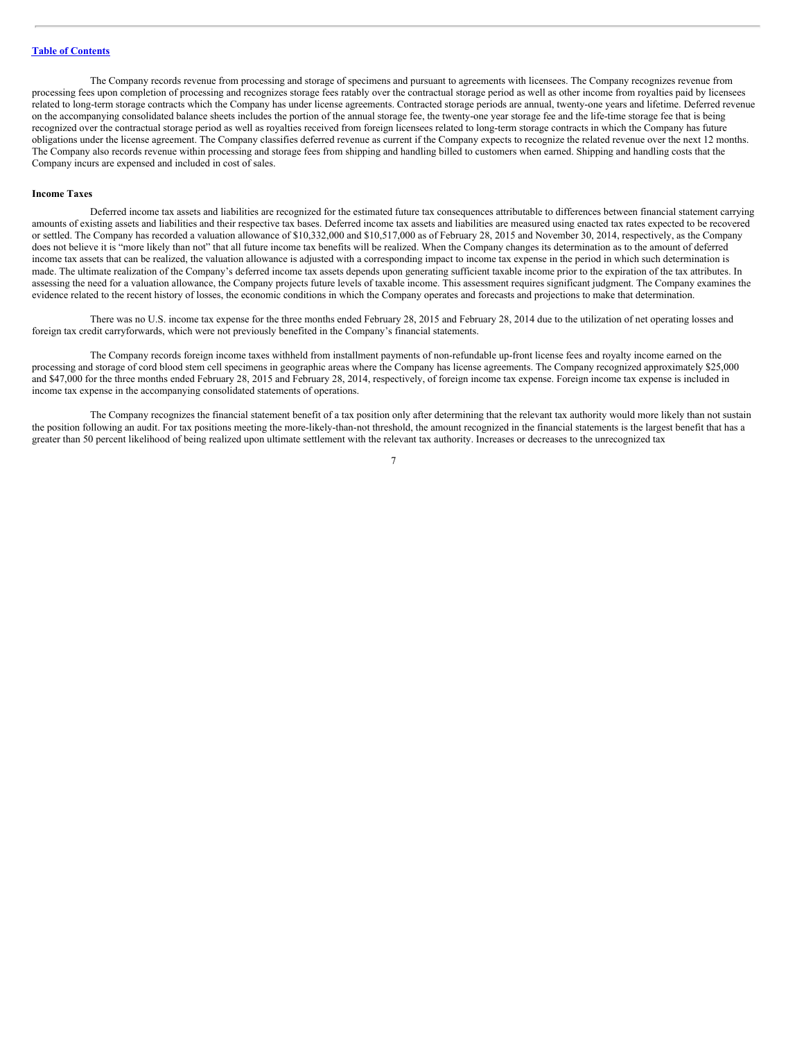The Company records revenue from processing and storage of specimens and pursuant to agreements with licensees. The Company recognizes revenue from processing fees upon completion of processing and recognizes storage fees ratably over the contractual storage period as well as other income from royalties paid by licensees related to long-term storage contracts which the Company has under license agreements. Contracted storage periods are annual, twenty-one years and lifetime. Deferred revenue on the accompanying consolidated balance sheets includes the portion of the annual storage fee, the twenty-one year storage fee and the life-time storage fee that is being recognized over the contractual storage period as well as royalties received from foreign licensees related to long-term storage contracts in which the Company has future obligations under the license agreement. The Company classifies deferred revenue as current if the Company expects to recognize the related revenue over the next 12 months. The Company also records revenue within processing and storage fees from shipping and handling billed to customers when earned. Shipping and handling costs that the Company incurs are expensed and included in cost of sales.

#### **Income Taxes**

Deferred income tax assets and liabilities are recognized for the estimated future tax consequences attributable to differences between financial statement carrying amounts of existing assets and liabilities and their respective tax bases. Deferred income tax assets and liabilities are measured using enacted tax rates expected to be recovered or settled. The Company has recorded a valuation allowance of \$10,332,000 and \$10,517,000 as of February 28, 2015 and November 30, 2014, respectively, as the Company does not believe it is "more likely than not" that all future income tax benefits will be realized. When the Company changes its determination as to the amount of deferred income tax assets that can be realized, the valuation allowance is adjusted with a corresponding impact to income tax expense in the period in which such determination is made. The ultimate realization of the Company's deferred income tax assets depends upon generating sufficient taxable income prior to the expiration of the tax attributes. In assessing the need for a valuation allowance, the Company projects future levels of taxable income. This assessment requires significant judgment. The Company examines the evidence related to the recent history of losses, the economic conditions in which the Company operates and forecasts and projections to make that determination.

There was no U.S. income tax expense for the three months ended February 28, 2015 and February 28, 2014 due to the utilization of net operating losses and foreign tax credit carryforwards, which were not previously benefited in the Company's financial statements.

The Company records foreign income taxes withheld from installment payments of non-refundable up-front license fees and royalty income earned on the processing and storage of cord blood stem cell specimens in geographic areas where the Company has license agreements. The Company recognized approximately \$25,000 and \$47,000 for the three months ended February 28, 2015 and February 28, 2014, respectively, of foreign income tax expense. Foreign income tax expense is included in income tax expense in the accompanying consolidated statements of operations.

The Company recognizes the financial statement benefit of a tax position only after determining that the relevant tax authority would more likely than not sustain the position following an audit. For tax positions meeting the more-likely-than-not threshold, the amount recognized in the financial statements is the largest benefit that has a greater than 50 percent likelihood of being realized upon ultimate settlement with the relevant tax authority. Increases or decreases to the unrecognized tax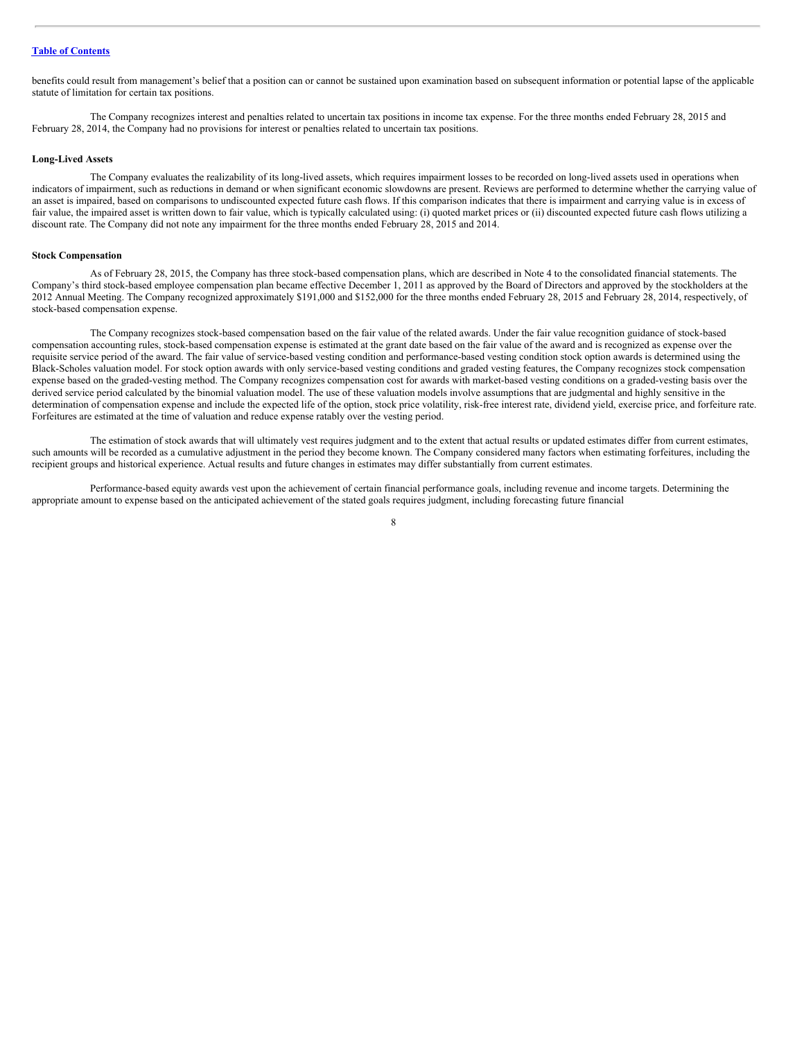benefits could result from management's belief that a position can or cannot be sustained upon examination based on subsequent information or potential lapse of the applicable statute of limitation for certain tax positions.

The Company recognizes interest and penalties related to uncertain tax positions in income tax expense. For the three months ended February 28, 2015 and February 28, 2014, the Company had no provisions for interest or penalties related to uncertain tax positions.

#### **Long-Lived Assets**

The Company evaluates the realizability of its long-lived assets, which requires impairment losses to be recorded on long-lived assets used in operations when indicators of impairment, such as reductions in demand or when significant economic slowdowns are present. Reviews are performed to determine whether the carrying value of an asset is impaired, based on comparisons to undiscounted expected future cash flows. If this comparison indicates that there is impairment and carrying value is in excess of fair value, the impaired asset is written down to fair value, which is typically calculated using: (i) quoted market prices or (ii) discounted expected future cash flows utilizing a discount rate. The Company did not note any impairment for the three months ended February 28, 2015 and 2014.

#### **Stock Compensation**

As of February 28, 2015, the Company has three stock-based compensation plans, which are described in Note 4 to the consolidated financial statements. The Company's third stock-based employee compensation plan became effective December 1, 2011 as approved by the Board of Directors and approved by the stockholders at the 2012 Annual Meeting. The Company recognized approximately \$191,000 and \$152,000 for the three months ended February 28, 2015 and February 28, 2014, respectively, of stock-based compensation expense.

The Company recognizes stock-based compensation based on the fair value of the related awards. Under the fair value recognition guidance of stock-based compensation accounting rules, stock-based compensation expense is estimated at the grant date based on the fair value of the award and is recognized as expense over the requisite service period of the award. The fair value of service-based vesting condition and performance-based vesting condition stock option awards is determined using the Black-Scholes valuation model. For stock option awards with only service-based vesting conditions and graded vesting features, the Company recognizes stock compensation expense based on the graded-vesting method. The Company recognizes compensation cost for awards with market-based vesting conditions on a graded-vesting basis over the derived service period calculated by the binomial valuation model. The use of these valuation models involve assumptions that are judgmental and highly sensitive in the determination of compensation expense and include the expected life of the option, stock price volatility, risk-free interest rate, dividend yield, exercise price, and forfeiture rate. Forfeitures are estimated at the time of valuation and reduce expense ratably over the vesting period.

The estimation of stock awards that will ultimately vest requires judgment and to the extent that actual results or updated estimates differ from current estimates, such amounts will be recorded as a cumulative adjustment in the period they become known. The Company considered many factors when estimating forfeitures, including the recipient groups and historical experience. Actual results and future changes in estimates may differ substantially from current estimates.

Performance-based equity awards vest upon the achievement of certain financial performance goals, including revenue and income targets. Determining the appropriate amount to expense based on the anticipated achievement of the stated goals requires judgment, including forecasting future financial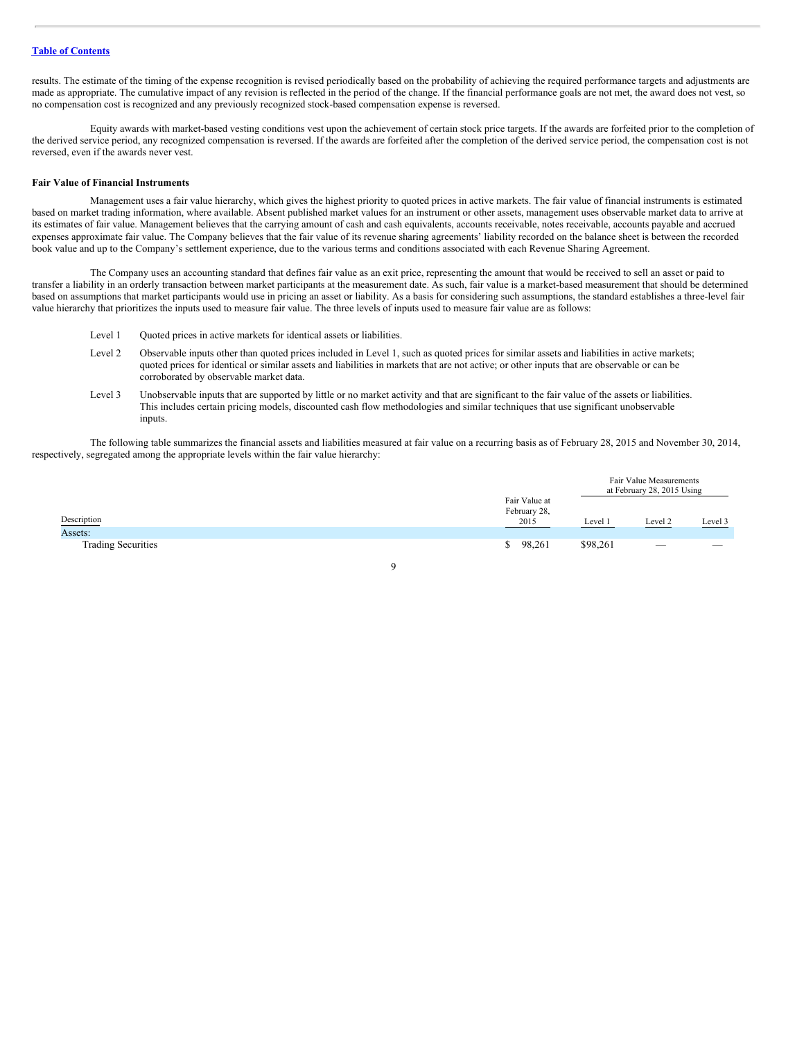results. The estimate of the timing of the expense recognition is revised periodically based on the probability of achieving the required performance targets and adjustments are made as appropriate. The cumulative impact of any revision is reflected in the period of the change. If the financial performance goals are not met, the award does not vest, so no compensation cost is recognized and any previously recognized stock-based compensation expense is reversed.

Equity awards with market-based vesting conditions vest upon the achievement of certain stock price targets. If the awards are forfeited prior to the completion of the derived service period, any recognized compensation is reversed. If the awards are forfeited after the completion of the derived service period, the compensation cost is not reversed, even if the awards never vest.

#### **Fair Value of Financial Instruments**

Management uses a fair value hierarchy, which gives the highest priority to quoted prices in active markets. The fair value of financial instruments is estimated based on market trading information, where available. Absent published market values for an instrument or other assets, management uses observable market data to arrive at its estimates of fair value. Management believes that the carrying amount of cash and cash equivalents, accounts receivable, notes receivable, accounts payable and accrued expenses approximate fair value. The Company believes that the fair value of its revenue sharing agreements' liability recorded on the balance sheet is between the recorded book value and up to the Company's settlement experience, due to the various terms and conditions associated with each Revenue Sharing Agreement.

The Company uses an accounting standard that defines fair value as an exit price, representing the amount that would be received to sell an asset or paid to transfer a liability in an orderly transaction between market participants at the measurement date. As such, fair value is a market-based measurement that should be determined based on assumptions that market participants would use in pricing an asset or liability. As a basis for considering such assumptions, the standard establishes a three-level fair value hierarchy that prioritizes the inputs used to measure fair value. The three levels of inputs used to measure fair value are as follows:

- Level 1 Quoted prices in active markets for identical assets or liabilities.
- Level 2 Observable inputs other than quoted prices included in Level 1, such as quoted prices for similar assets and liabilities in active markets; quoted prices for identical or similar assets and liabilities in markets that are not active; or other inputs that are observable or can be corroborated by observable market data.
- Level 3 Unobservable inputs that are supported by little or no market activity and that are significant to the fair value of the assets or liabilities. This includes certain pricing models, discounted cash flow methodologies and similar techniques that use significant unobservable inputs.

The following table summarizes the financial assets and liabilities measured at fair value on a recurring basis as of February 28, 2015 and November 30, 2014, respectively, segregated among the appropriate levels within the fair value hierarchy:

|                           |                                       | Fair Value Measurements<br>at February 28, 2015 Using |                 |         |
|---------------------------|---------------------------------------|-------------------------------------------------------|-----------------|---------|
| Description               | Fair Value at<br>February 28,<br>2015 | Level 1                                               | Level 2         | Level 3 |
| Assets:                   |                                       |                                                       |                 |         |
| <b>Trading Securities</b> | 98,261<br>S.                          | \$98,261                                              | $\qquad \qquad$ | $-$     |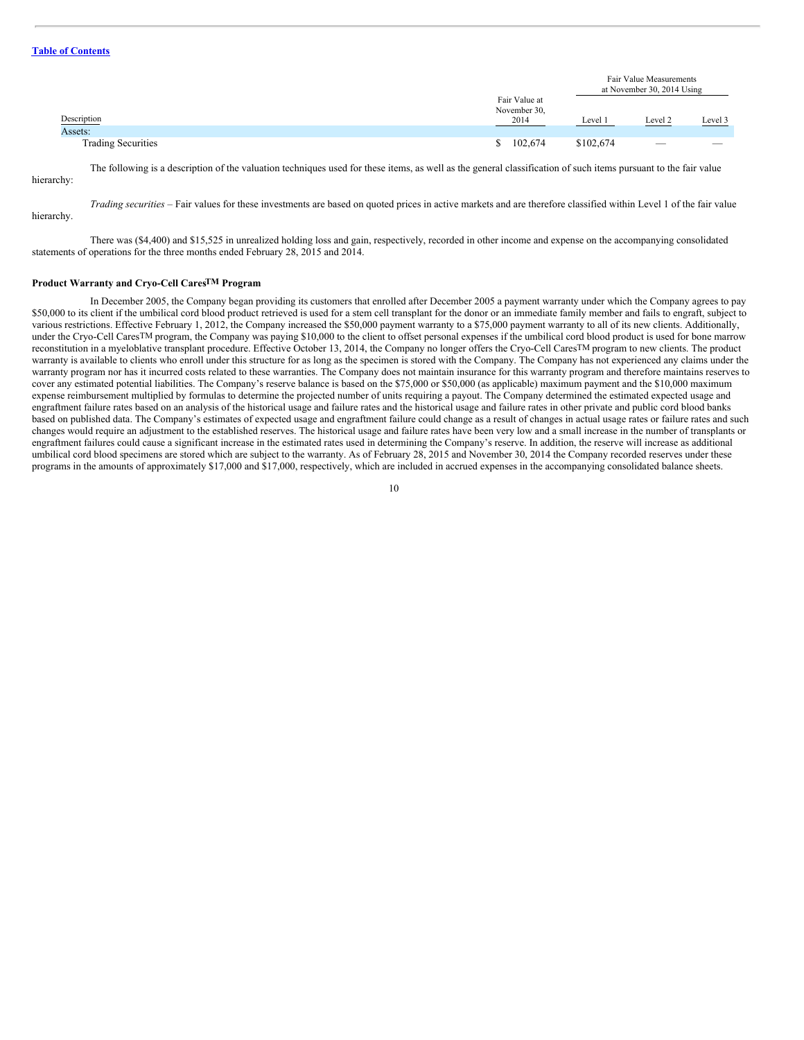|                           |                               |           | Fair Value Measurements<br>at November 30, 2014 Using |         |
|---------------------------|-------------------------------|-----------|-------------------------------------------------------|---------|
|                           | Fair Value at<br>November 30, |           |                                                       |         |
| Description               | 2014                          | Level 1   | Level 2                                               | Level 3 |
| Assets:                   |                               |           |                                                       |         |
| <b>Trading Securities</b> | 102,674<br><sup>\$</sup>      | \$102,674 | $\overline{\phantom{a}}$                              | ___     |

hierarchy:

The following is a description of the valuation techniques used for these items, as well as the general classification of such items pursuant to the fair value

*Trading securities –* Fair values for these investments are based on quoted prices in active markets and are therefore classified within Level 1 of the fair value hierarchy.

There was (\$4,400) and \$15,525 in unrealized holding loss and gain, respectively, recorded in other income and expense on the accompanying consolidated statements of operations for the three months ended February 28, 2015 and 2014.

#### **Product Warranty and Cryo-Cell CaresTM Program**

In December 2005, the Company began providing its customers that enrolled after December 2005 a payment warranty under which the Company agrees to pay \$50,000 to its client if the umbilical cord blood product retrieved is used for a stem cell transplant for the donor or an immediate family member and fails to engraft, subject to various restrictions. Effective February 1, 2012, the Company increased the \$50,000 payment warranty to a \$75,000 payment warranty to all of its new clients. Additionally, under the Cryo-Cell CaresTM program, the Company was paying \$10,000 to the client to offset personal expenses if the umbilical cord blood product is used for bone marrow reconstitution in a myeloblative transplant procedure. Effective October 13, 2014, the Company no longer offers the Cryo-Cell CaresTM program to new clients. The product warranty is available to clients who enroll under this structure for as long as the specimen is stored with the Company. The Company has not experienced any claims under the warranty program nor has it incurred costs related to these warranties. The Company does not maintain insurance for this warranty program and therefore maintains reserves to cover any estimated potential liabilities. The Company's reserve balance is based on the \$75,000 or \$50,000 (as applicable) maximum payment and the \$10,000 maximum expense reimbursement multiplied by formulas to determine the projected number of units requiring a payout. The Company determined the estimated expected usage and engraftment failure rates based on an analysis of the historical usage and failure rates and the historical usage and failure rates in other private and public cord blood banks based on published data. The Company's estimates of expected usage and engraftment failure could change as a result of changes in actual usage rates or failure rates and such changes would require an adjustment to the established reserves. The historical usage and failure rates have been very low and a small increase in the number of transplants or engraftment failures could cause a significant increase in the estimated rates used in determining the Company's reserve. In addition, the reserve will increase as additional umbilical cord blood specimens are stored which are subject to the warranty. As of February 28, 2015 and November 30, 2014 the Company recorded reserves under these programs in the amounts of approximately \$17,000 and \$17,000, respectively, which are included in accrued expenses in the accompanying consolidated balance sheets.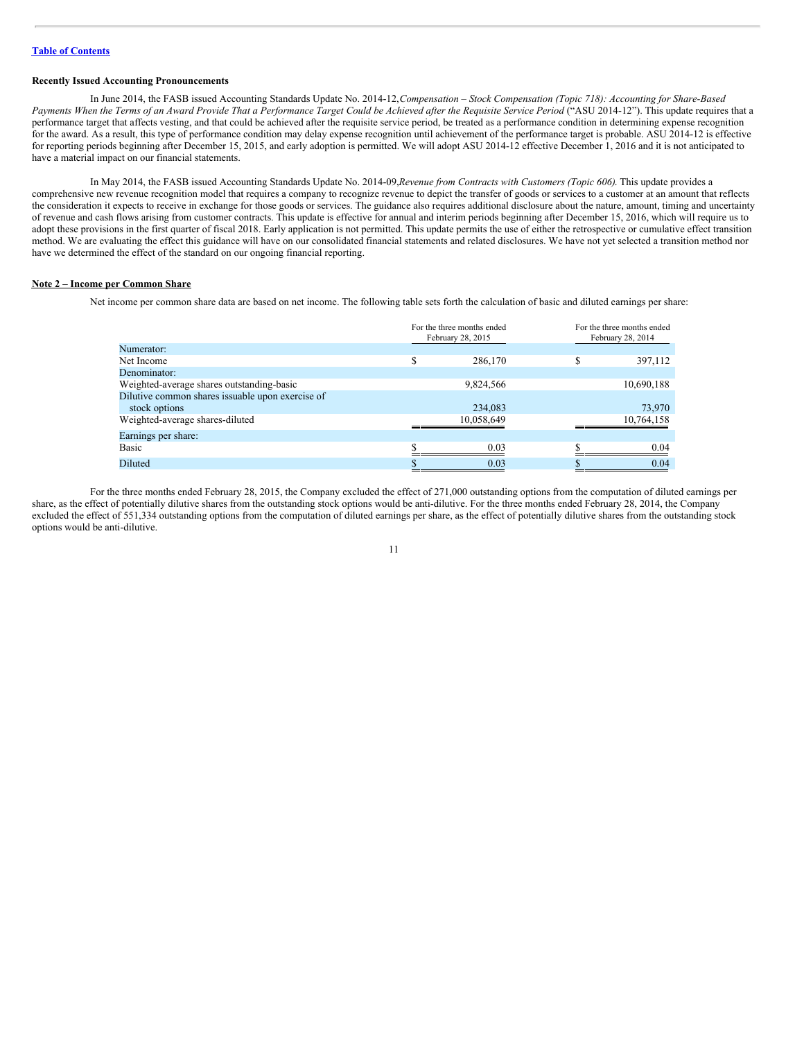#### **Recently Issued Accounting Pronouncements**

In June 2014, the FASB issued Accounting Standards Update No. 2014-12,*Compensation – Stock Compensation (Topic 718): Accounting for Share-Based* Payments When the Terms of an Award Provide That a Performance Target Could be Achieved after the Requisite Service Period ("ASU 2014-12"). This update requires that a performance target that affects vesting, and that could be achieved after the requisite service period, be treated as a performance condition in determining expense recognition for the award. As a result, this type of performance condition may delay expense recognition until achievement of the performance target is probable. ASU 2014-12 is effective for reporting periods beginning after December 15, 2015, and early adoption is permitted. We will adopt ASU 2014-12 effective December 1, 2016 and it is not anticipated to have a material impact on our financial statements.

In May 2014, the FASB issued Accounting Standards Update No. 2014-09,*Revenue from Contracts with Customers (Topic 606)*. This update provides a comprehensive new revenue recognition model that requires a company to recognize revenue to depict the transfer of goods or services to a customer at an amount that reflects the consideration it expects to receive in exchange for those goods or services. The guidance also requires additional disclosure about the nature, amount, timing and uncertainty of revenue and cash flows arising from customer contracts. This update is effective for annual and interim periods beginning after December 15, 2016, which will require us to adopt these provisions in the first quarter of fiscal 2018. Early application is not permitted. This update permits the use of either the retrospective or cumulative effect transition method. We are evaluating the effect this guidance will have on our consolidated financial statements and related disclosures. We have not yet selected a transition method nor have we determined the effect of the standard on our ongoing financial reporting.

#### **Note 2 – Income per Common Share**

Net income per common share data are based on net income. The following table sets forth the calculation of basic and diluted earnings per share:

|                                                  |   | For the three months ended<br>February 28, 2015 |     | For the three months ended<br>February 28, 2014 |
|--------------------------------------------------|---|-------------------------------------------------|-----|-------------------------------------------------|
| Numerator:                                       |   |                                                 |     |                                                 |
| Net Income                                       | S | 286,170                                         | \$. | 397,112                                         |
| Denominator:                                     |   |                                                 |     |                                                 |
| Weighted-average shares outstanding-basic        |   | 9,824,566                                       |     | 10,690,188                                      |
| Dilutive common shares issuable upon exercise of |   |                                                 |     |                                                 |
| stock options                                    |   | 234,083                                         |     | 73,970                                          |
| Weighted-average shares-diluted                  |   | 10,058,649                                      |     | 10,764,158                                      |
| Earnings per share:                              |   |                                                 |     |                                                 |
| Basic                                            | ¢ | 0.03                                            | ¢   | 0.04                                            |
| Diluted                                          |   | 0.03                                            |     | 0.04                                            |

For the three months ended February 28, 2015, the Company excluded the effect of 271,000 outstanding options from the computation of diluted earnings per share, as the effect of potentially dilutive shares from the outstanding stock options would be anti-dilutive. For the three months ended February 28, 2014, the Company excluded the effect of 551,334 outstanding options from the computation of diluted earnings per share, as the effect of potentially dilutive shares from the outstanding stock options would be anti-dilutive.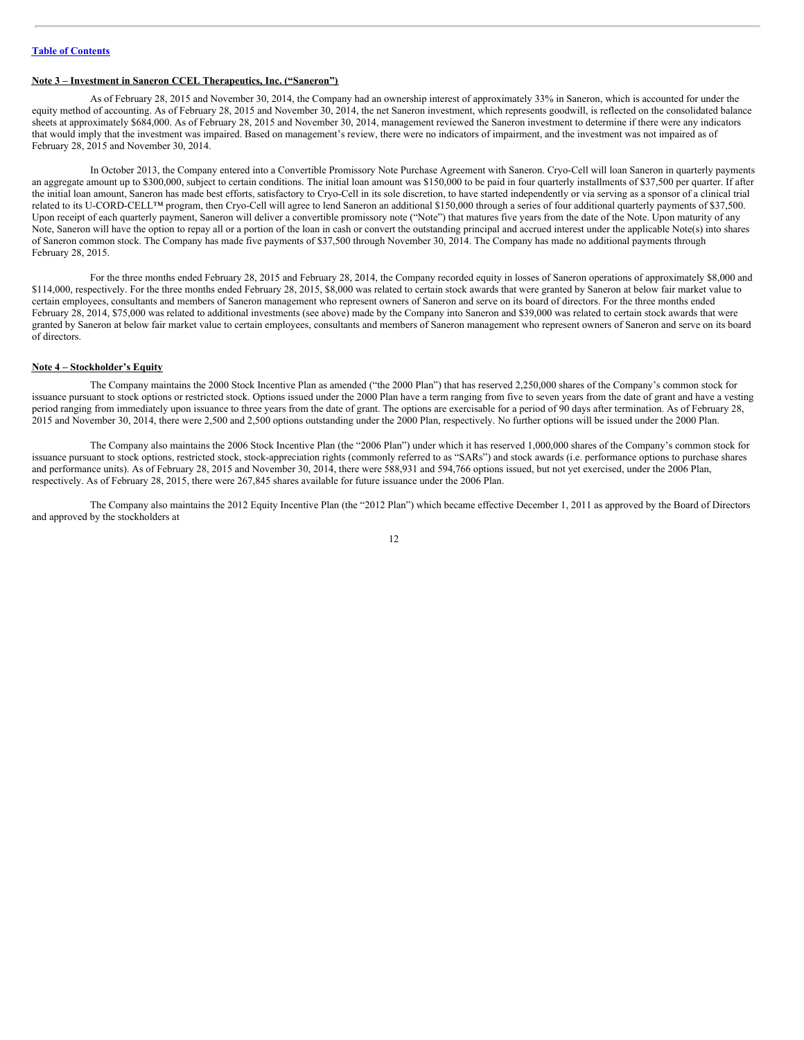# **Note 3 – Investment in Saneron CCEL Therapeutics, Inc. ("Saneron")**

As of February 28, 2015 and November 30, 2014, the Company had an ownership interest of approximately 33% in Saneron, which is accounted for under the equity method of accounting. As of February 28, 2015 and November 30, 2014, the net Saneron investment, which represents goodwill, is reflected on the consolidated balance sheets at approximately \$684,000. As of February 28, 2015 and November 30, 2014, management reviewed the Saneron investment to determine if there were any indicators that would imply that the investment was impaired. Based on management's review, there were no indicators of impairment, and the investment was not impaired as of February 28, 2015 and November 30, 2014.

In October 2013, the Company entered into a Convertible Promissory Note Purchase Agreement with Saneron. Cryo-Cell will loan Saneron in quarterly payments an aggregate amount up to \$300,000, subject to certain conditions. The initial loan amount was \$150,000 to be paid in four quarterly installments of \$37,500 per quarter. If after the initial loan amount, Saneron has made best efforts, satisfactory to Cryo-Cell in its sole discretion, to have started independently or via serving as a sponsor of a clinical trial related to its U-CORD-CELL™ program, then Cryo-Cell will agree to lend Saneron an additional \$150,000 through a series of four additional quarterly payments of \$37,500. Upon receipt of each quarterly payment, Saneron will deliver a convertible promissory note ("Note") that matures five years from the date of the Note. Upon maturity of any Note, Saneron will have the option to repay all or a portion of the loan in cash or convert the outstanding principal and accrued interest under the applicable Note(s) into shares of Saneron common stock. The Company has made five payments of \$37,500 through November 30, 2014. The Company has made no additional payments through February 28, 2015.

For the three months ended February 28, 2015 and February 28, 2014, the Company recorded equity in losses of Saneron operations of approximately \$8,000 and \$114,000, respectively. For the three months ended February 28, 2015, \$8,000 was related to certain stock awards that were granted by Saneron at below fair market value to certain employees, consultants and members of Saneron management who represent owners of Saneron and serve on its board of directors. For the three months ended February 28, 2014, \$75,000 was related to additional investments (see above) made by the Company into Saneron and \$39,000 was related to certain stock awards that were granted by Saneron at below fair market value to certain employees, consultants and members of Saneron management who represent owners of Saneron and serve on its board of directors.

#### **Note 4 – Stockholder's Equity**

The Company maintains the 2000 Stock Incentive Plan as amended ("the 2000 Plan") that has reserved 2,250,000 shares of the Company's common stock for issuance pursuant to stock options or restricted stock. Options issued under the 2000 Plan have a term ranging from five to seven years from the date of grant and have a vesting period ranging from immediately upon issuance to three years from the date of grant. The options are exercisable for a period of 90 days after termination. As of February 28, 2015 and November 30, 2014, there were 2,500 and 2,500 options outstanding under the 2000 Plan, respectively. No further options will be issued under the 2000 Plan.

The Company also maintains the 2006 Stock Incentive Plan (the "2006 Plan") under which it has reserved 1,000,000 shares of the Company's common stock for issuance pursuant to stock options, restricted stock, stock-appreciation rights (commonly referred to as "SARs") and stock awards (i.e. performance options to purchase shares and performance units). As of February 28, 2015 and November 30, 2014, there were 588,931 and 594,766 options issued, but not yet exercised, under the 2006 Plan, respectively. As of February 28, 2015, there were 267,845 shares available for future issuance under the 2006 Plan.

The Company also maintains the 2012 Equity Incentive Plan (the "2012 Plan") which became effective December 1, 2011 as approved by the Board of Directors and approved by the stockholders at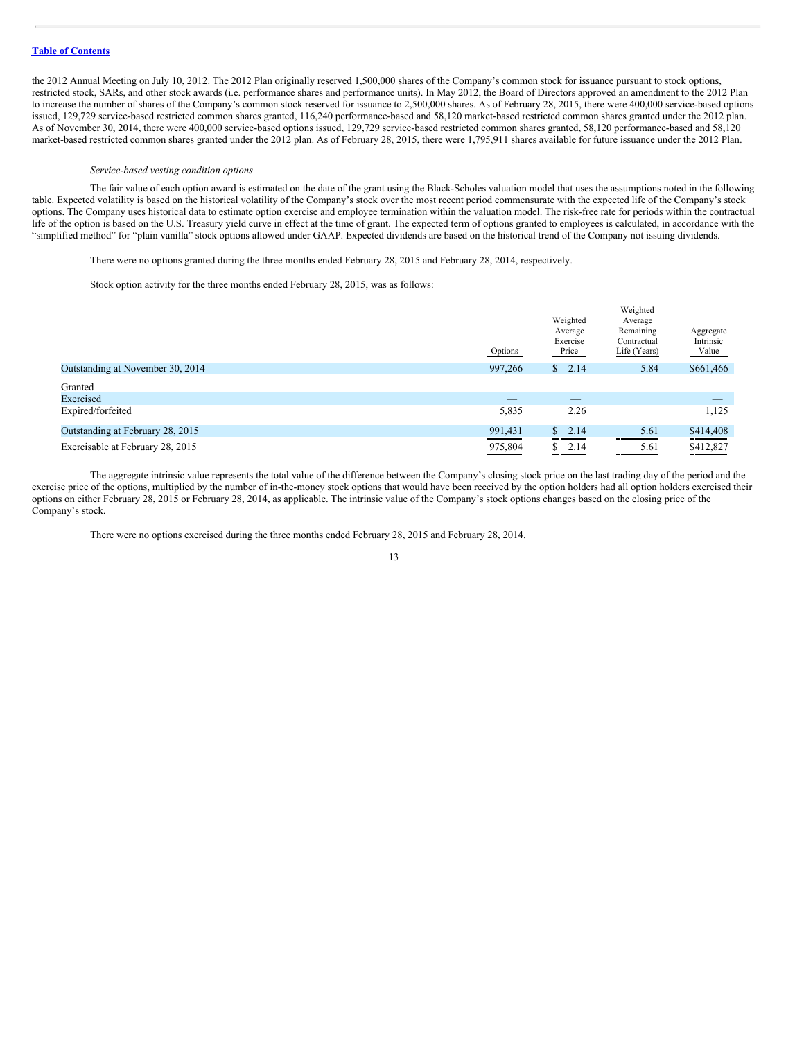the 2012 Annual Meeting on July 10, 2012. The 2012 Plan originally reserved 1,500,000 shares of the Company's common stock for issuance pursuant to stock options, restricted stock, SARs, and other stock awards (i.e. performance shares and performance units). In May 2012, the Board of Directors approved an amendment to the 2012 Plan to increase the number of shares of the Company's common stock reserved for issuance to 2,500,000 shares. As of February 28, 2015, there were 400,000 service-based options issued, 129,729 service-based restricted common shares granted, 116,240 performance-based and 58,120 market-based restricted common shares granted under the 2012 plan. As of November 30, 2014, there were 400,000 service-based options issued, 129,729 service-based restricted common shares granted, 58,120 performance-based and 58,120 market-based restricted common shares granted under the 2012 plan. As of February 28, 2015, there were 1,795,911 shares available for future issuance under the 2012 Plan.

#### *Service-based vesting condition options*

The fair value of each option award is estimated on the date of the grant using the Black-Scholes valuation model that uses the assumptions noted in the following table. Expected volatility is based on the historical volatility of the Company's stock over the most recent period commensurate with the expected life of the Company's stock options. The Company uses historical data to estimate option exercise and employee termination within the valuation model. The risk-free rate for periods within the contractual life of the option is based on the U.S. Treasury yield curve in effect at the time of grant. The expected term of options granted to employees is calculated, in accordance with the "simplified method" for "plain vanilla" stock options allowed under GAAP. Expected dividends are based on the historical trend of the Company not issuing dividends.

There were no options granted during the three months ended February 28, 2015 and February 28, 2014, respectively.

Stock option activity for the three months ended February 28, 2015, was as follows:

|                                  | Options | Weighted<br>Average<br>Exercise<br>Price | Weighted<br>Average<br>Remaining<br>Contractual<br>Life (Years) | Aggregate<br>Intrinsic<br>Value |
|----------------------------------|---------|------------------------------------------|-----------------------------------------------------------------|---------------------------------|
| Outstanding at November 30, 2014 | 997,266 | \$2.14                                   | 5.84                                                            | \$661,466                       |
| Granted                          |         |                                          |                                                                 |                                 |
| Exercised                        | _       | $\overline{\phantom{a}}$                 |                                                                 | $\overline{\phantom{a}}$        |
| Expired/forfeited                | 5,835   | 2.26                                     |                                                                 | 1,125                           |
| Outstanding at February 28, 2015 | 991,431 | $\frac{1}{2}$ , 2.14                     | 5.61                                                            | \$414,408                       |
| Exercisable at February 28, 2015 | 975,804 | 2.14<br>\$                               | 5.61                                                            | \$412,827                       |

The aggregate intrinsic value represents the total value of the difference between the Company's closing stock price on the last trading day of the period and the exercise price of the options, multiplied by the number of in-the-money stock options that would have been received by the option holders had all option holders exercised their options on either February 28, 2015 or February 28, 2014, as applicable. The intrinsic value of the Company's stock options changes based on the closing price of the Company's stock.

There were no options exercised during the three months ended February 28, 2015 and February 28, 2014.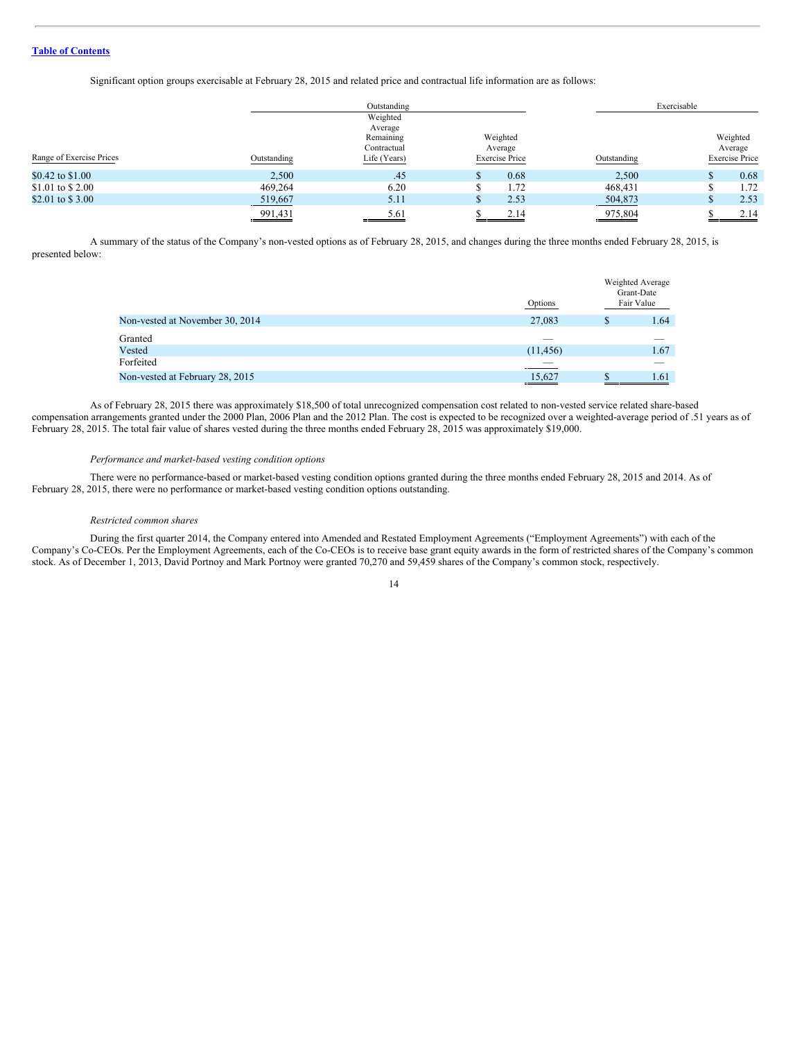Significant option groups exercisable at February 28, 2015 and related price and contractual life information are as follows:

|                          |             | Outstanding    |                       |             | Exercisable           |
|--------------------------|-------------|----------------|-----------------------|-------------|-----------------------|
|                          |             | Weighted       |                       |             |                       |
|                          |             | Average        |                       |             |                       |
|                          |             | Remaining      | Weighted              |             | Weighted              |
|                          |             | Contractual    | Average               |             | Average               |
| Range of Exercise Prices | Outstanding | Life (Years)   | <b>Exercise Price</b> | Outstanding | <b>Exercise Price</b> |
| \$0.42 to \$1.00         | 2,500       | .45            | 0.68                  | 2,500       | 0.68                  |
| \$1.01 to \$2.00         | 469,264     | 6.20           | 1.72                  | 468,431     | 1.72                  |
| \$2.01 to \$3.00         | 519,667     | 5.11           | 2.53                  | 504,873     | 2.53                  |
|                          | 991,431     | 5.61<br>______ | 2.14                  | 975,804     | 2.14                  |

A summary of the status of the Company's non-vested options as of February 28, 2015, and changes during the three months ended February 28, 2015, is presented below:

|                                 | Options   |   | Weighted Average<br>Grant-Date<br>Fair Value |
|---------------------------------|-----------|---|----------------------------------------------|
| Non-vested at November 30, 2014 | 27,083    | S | 1.64                                         |
| Granted                         | __        |   |                                              |
| Vested                          | (11, 456) |   | 1.67                                         |
| Forfeited                       |           |   |                                              |
| Non-vested at February 28, 2015 | 15,627    |   | 1.61                                         |
|                                 |           |   |                                              |

As of February 28, 2015 there was approximately \$18,500 of total unrecognized compensation cost related to non-vested service related share-based compensation arrangements granted under the 2000 Plan, 2006 Plan and the 2012 Plan. The cost is expected to be recognized over a weighted-average period of .51 years as of February 28, 2015. The total fair value of shares vested during the three months ended February 28, 2015 was approximately \$19,000.

#### *Performance and market-based vesting condition options*

There were no performance-based or market-based vesting condition options granted during the three months ended February 28, 2015 and 2014. As of February 28, 2015, there were no performance or market-based vesting condition options outstanding.

#### *Restricted common shares*

During the first quarter 2014, the Company entered into Amended and Restated Employment Agreements ("Employment Agreements") with each of the Company's Co-CEOs. Per the Employment Agreements, each of the Co-CEOs is to receive base grant equity awards in the form of restricted shares of the Company's common stock. As of December 1, 2013, David Portnoy and Mark Portnoy were granted 70,270 and 59,459 shares of the Company's common stock, respectively.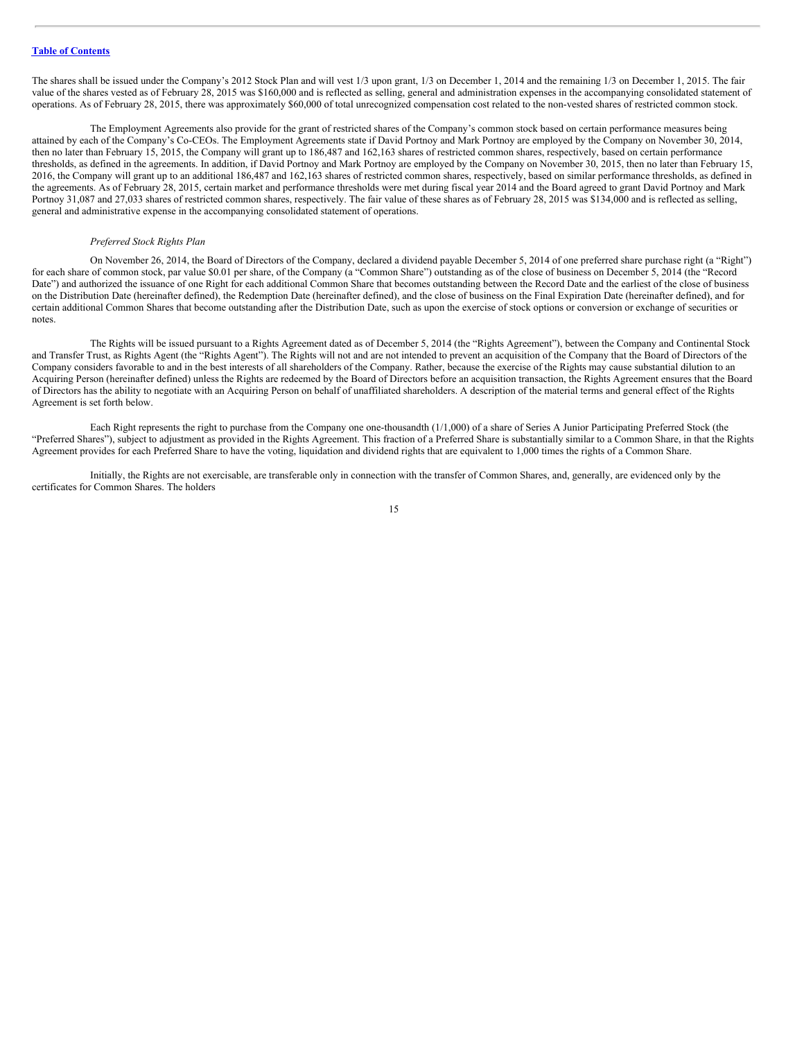The shares shall be issued under the Company's 2012 Stock Plan and will vest 1/3 upon grant, 1/3 on December 1, 2014 and the remaining 1/3 on December 1, 2015. The fair value of the shares vested as of February 28, 2015 was \$160,000 and is reflected as selling, general and administration expenses in the accompanying consolidated statement of operations. As of February 28, 2015, there was approximately \$60,000 of total unrecognized compensation cost related to the non-vested shares of restricted common stock.

The Employment Agreements also provide for the grant of restricted shares of the Company's common stock based on certain performance measures being attained by each of the Company's Co-CEOs. The Employment Agreements state if David Portnoy and Mark Portnoy are employed by the Company on November 30, 2014, then no later than February 15, 2015, the Company will grant up to 186,487 and 162,163 shares of restricted common shares, respectively, based on certain performance thresholds, as defined in the agreements. In addition, if David Portnoy and Mark Portnoy are employed by the Company on November 30, 2015, then no later than February 15, 2016, the Company will grant up to an additional 186,487 and 162,163 shares of restricted common shares, respectively, based on similar performance thresholds, as defined in the agreements. As of February 28, 2015, certain market and performance thresholds were met during fiscal year 2014 and the Board agreed to grant David Portnoy and Mark Portnoy 31,087 and 27,033 shares of restricted common shares, respectively. The fair value of these shares as of February 28, 2015 was \$134,000 and is reflected as selling, general and administrative expense in the accompanying consolidated statement of operations.

#### *Preferred Stock Rights Plan*

On November 26, 2014, the Board of Directors of the Company, declared a dividend payable December 5, 2014 of one preferred share purchase right (a "Right") for each share of common stock, par value \$0.01 per share, of the Company (a "Common Share") outstanding as of the close of business on December 5, 2014 (the "Record Date") and authorized the issuance of one Right for each additional Common Share that becomes outstanding between the Record Date and the earliest of the close of business on the Distribution Date (hereinafter defined), the Redemption Date (hereinafter defined), and the close of business on the Final Expiration Date (hereinafter defined), and for certain additional Common Shares that become outstanding after the Distribution Date, such as upon the exercise of stock options or conversion or exchange of securities or notes.

The Rights will be issued pursuant to a Rights Agreement dated as of December 5, 2014 (the "Rights Agreement"), between the Company and Continental Stock and Transfer Trust, as Rights Agent (the "Rights Agent"). The Rights will not and are not intended to prevent an acquisition of the Company that the Board of Directors of the Company considers favorable to and in the best interests of all shareholders of the Company. Rather, because the exercise of the Rights may cause substantial dilution to an Acquiring Person (hereinafter defined) unless the Rights are redeemed by the Board of Directors before an acquisition transaction, the Rights Agreement ensures that the Board of Directors has the ability to negotiate with an Acquiring Person on behalf of unaffiliated shareholders. A description of the material terms and general effect of the Rights Agreement is set forth below.

Each Right represents the right to purchase from the Company one one-thousandth (1/1,000) of a share of Series A Junior Participating Preferred Stock (the "Preferred Shares"), subject to adjustment as provided in the Rights Agreement. This fraction of a Preferred Share is substantially similar to a Common Share, in that the Rights Agreement provides for each Preferred Share to have the voting, liquidation and dividend rights that are equivalent to 1,000 times the rights of a Common Share.

Initially, the Rights are not exercisable, are transferable only in connection with the transfer of Common Shares, and, generally, are evidenced only by the certificates for Common Shares. The holders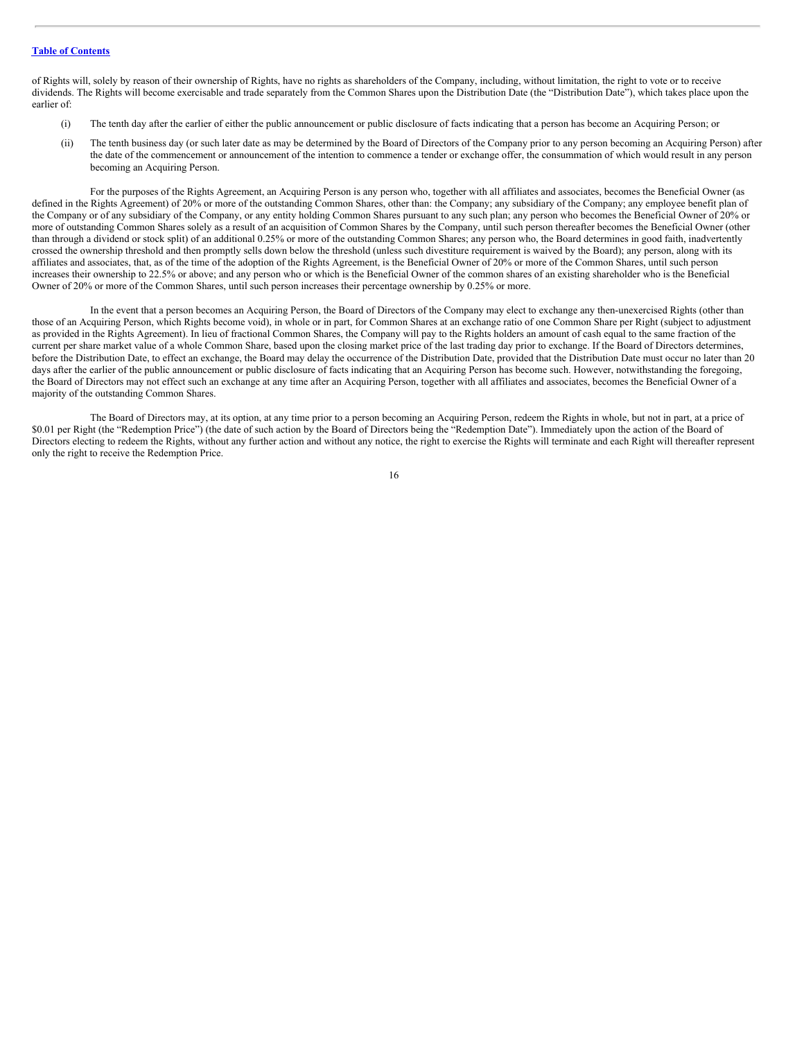of Rights will, solely by reason of their ownership of Rights, have no rights as shareholders of the Company, including, without limitation, the right to vote or to receive dividends. The Rights will become exercisable and trade separately from the Common Shares upon the Distribution Date (the "Distribution Date"), which takes place upon the earlier of:

- (i) The tenth day after the earlier of either the public announcement or public disclosure of facts indicating that a person has become an Acquiring Person; or
- (ii) The tenth business day (or such later date as may be determined by the Board of Directors of the Company prior to any person becoming an Acquiring Person) after the date of the commencement or announcement of the intention to commence a tender or exchange offer, the consummation of which would result in any person becoming an Acquiring Person.

For the purposes of the Rights Agreement, an Acquiring Person is any person who, together with all affiliates and associates, becomes the Beneficial Owner (as defined in the Rights Agreement) of 20% or more of the outstanding Common Shares, other than: the Company; any subsidiary of the Company; any employee benefit plan of the Company or of any subsidiary of the Company, or any entity holding Common Shares pursuant to any such plan; any person who becomes the Beneficial Owner of 20% or more of outstanding Common Shares solely as a result of an acquisition of Common Shares by the Company, until such person thereafter becomes the Beneficial Owner (other than through a dividend or stock split) of an additional 0.25% or more of the outstanding Common Shares; any person who, the Board determines in good faith, inadvertently crossed the ownership threshold and then promptly sells down below the threshold (unless such divestiture requirement is waived by the Board); any person, along with its affiliates and associates, that, as of the time of the adoption of the Rights Agreement, is the Beneficial Owner of 20% or more of the Common Shares, until such person increases their ownership to 22.5% or above; and any person who or which is the Beneficial Owner of the common shares of an existing shareholder who is the Beneficial Owner of 20% or more of the Common Shares, until such person increases their percentage ownership by 0.25% or more.

In the event that a person becomes an Acquiring Person, the Board of Directors of the Company may elect to exchange any then-unexercised Rights (other than those of an Acquiring Person, which Rights become void), in whole or in part, for Common Shares at an exchange ratio of one Common Share per Right (subject to adjustment as provided in the Rights Agreement). In lieu of fractional Common Shares, the Company will pay to the Rights holders an amount of cash equal to the same fraction of the current per share market value of a whole Common Share, based upon the closing market price of the last trading day prior to exchange. If the Board of Directors determines, before the Distribution Date, to effect an exchange, the Board may delay the occurrence of the Distribution Date, provided that the Distribution Date must occur no later than 20 days after the earlier of the public announcement or public disclosure of facts indicating that an Acquiring Person has become such. However, notwithstanding the foregoing, the Board of Directors may not effect such an exchange at any time after an Acquiring Person, together with all affiliates and associates, becomes the Beneficial Owner of a majority of the outstanding Common Shares.

The Board of Directors may, at its option, at any time prior to a person becoming an Acquiring Person, redeem the Rights in whole, but not in part, at a price of \$0.01 per Right (the "Redemption Price") (the date of such action by the Board of Directors being the "Redemption Date"). Immediately upon the action of the Board of Directors electing to redeem the Rights, without any further action and without any notice, the right to exercise the Rights will terminate and each Right will thereafter represent only the right to receive the Redemption Price.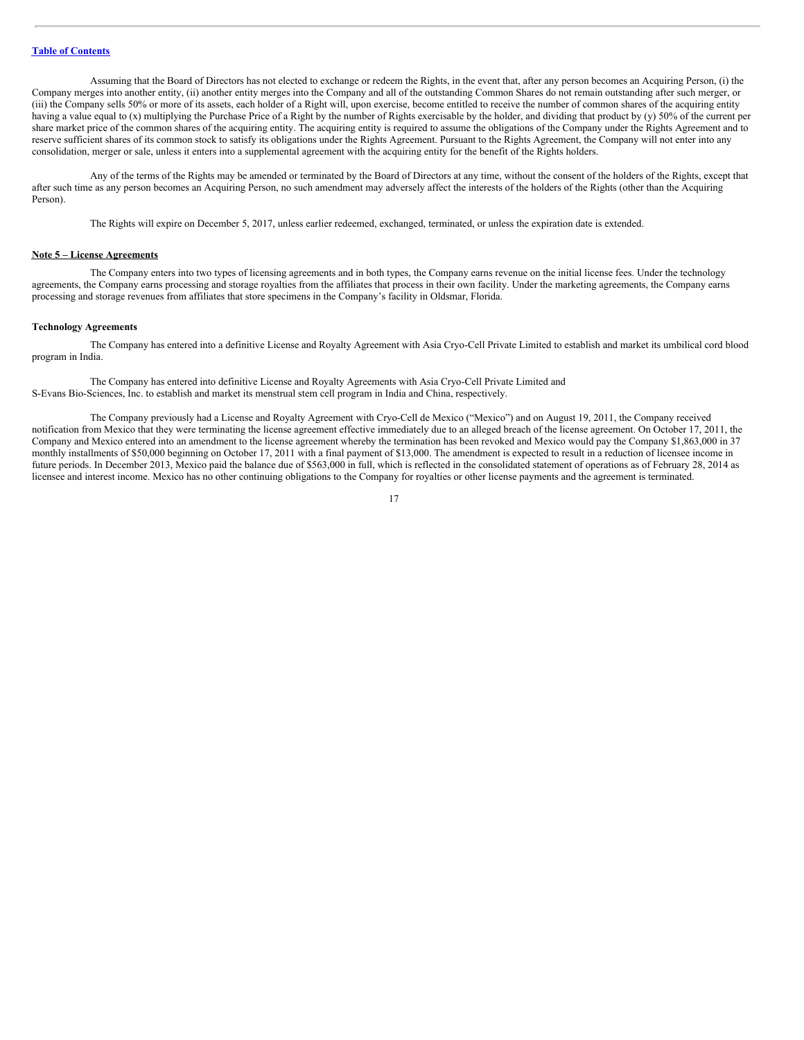Assuming that the Board of Directors has not elected to exchange or redeem the Rights, in the event that, after any person becomes an Acquiring Person, (i) the Company merges into another entity, (ii) another entity merges into the Company and all of the outstanding Common Shares do not remain outstanding after such merger, or (iii) the Company sells 50% or more of its assets, each holder of a Right will, upon exercise, become entitled to receive the number of common shares of the acquiring entity having a value equal to (x) multiplying the Purchase Price of a Right by the number of Rights exercisable by the holder, and dividing that product by (y) 50% of the current per share market price of the common shares of the acquiring entity. The acquiring entity is required to assume the obligations of the Company under the Rights Agreement and to reserve sufficient shares of its common stock to satisfy its obligations under the Rights Agreement. Pursuant to the Rights Agreement, the Company will not enter into any consolidation, merger or sale, unless it enters into a supplemental agreement with the acquiring entity for the benefit of the Rights holders.

Any of the terms of the Rights may be amended or terminated by the Board of Directors at any time, without the consent of the holders of the Rights, except that after such time as any person becomes an Acquiring Person, no such amendment may adversely affect the interests of the holders of the Rights (other than the Acquiring Person).

The Rights will expire on December 5, 2017, unless earlier redeemed, exchanged, terminated, or unless the expiration date is extended.

#### **Note 5 – License Agreements**

The Company enters into two types of licensing agreements and in both types, the Company earns revenue on the initial license fees. Under the technology agreements, the Company earns processing and storage royalties from the affiliates that process in their own facility. Under the marketing agreements, the Company earns processing and storage revenues from affiliates that store specimens in the Company's facility in Oldsmar, Florida.

#### **Technology Agreements**

The Company has entered into a definitive License and Royalty Agreement with Asia Cryo-Cell Private Limited to establish and market its umbilical cord blood program in India.

The Company has entered into definitive License and Royalty Agreements with Asia Cryo-Cell Private Limited and S-Evans Bio-Sciences, Inc. to establish and market its menstrual stem cell program in India and China, respectively.

The Company previously had a License and Royalty Agreement with Cryo-Cell de Mexico ("Mexico") and on August 19, 2011, the Company received notification from Mexico that they were terminating the license agreement effective immediately due to an alleged breach of the license agreement. On October 17, 2011, the Company and Mexico entered into an amendment to the license agreement whereby the termination has been revoked and Mexico would pay the Company \$1,863,000 in 37 monthly installments of \$50,000 beginning on October 17, 2011 with a final payment of \$13,000. The amendment is expected to result in a reduction of licensee income in future periods. In December 2013, Mexico paid the balance due of \$563,000 in full, which is reflected in the consolidated statement of operations as of February 28, 2014 as licensee and interest income. Mexico has no other continuing obligations to the Company for royalties or other license payments and the agreement is terminated.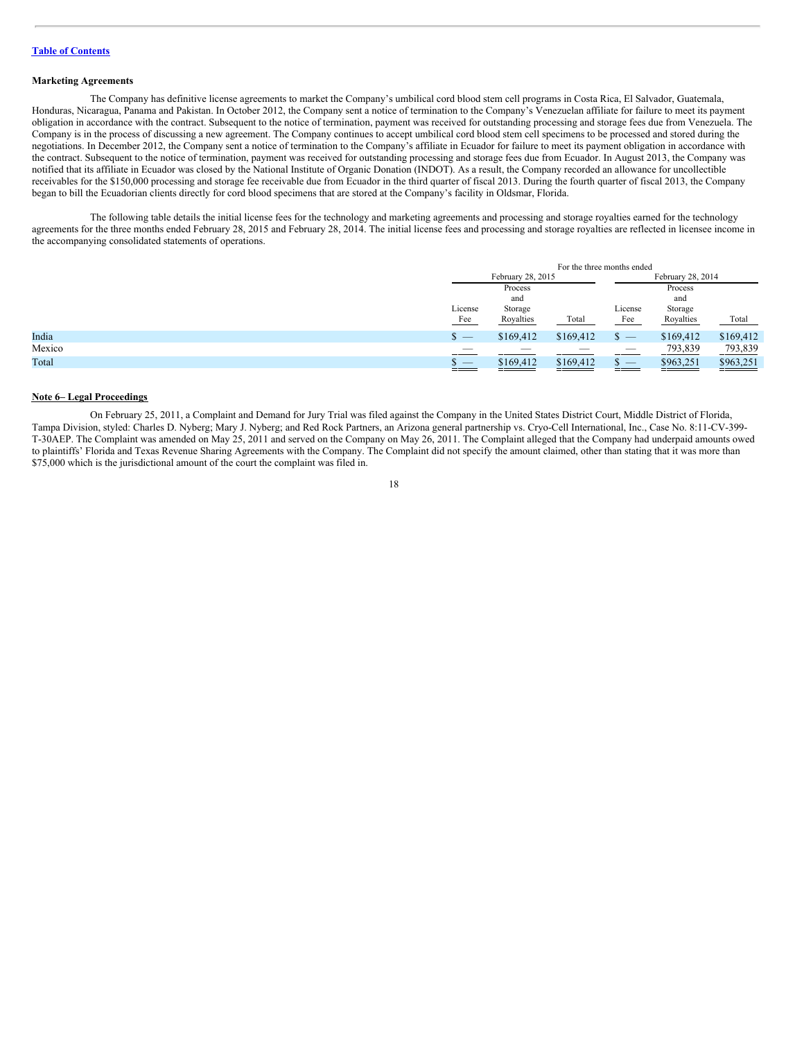#### **Marketing Agreements**

The Company has definitive license agreements to market the Company's umbilical cord blood stem cell programs in Costa Rica, El Salvador, Guatemala, Honduras, Nicaragua, Panama and Pakistan. In October 2012, the Company sent a notice of termination to the Company's Venezuelan affiliate for failure to meet its payment obligation in accordance with the contract. Subsequent to the notice of termination, payment was received for outstanding processing and storage fees due from Venezuela. The Company is in the process of discussing a new agreement. The Company continues to accept umbilical cord blood stem cell specimens to be processed and stored during the negotiations. In December 2012, the Company sent a notice of termination to the Company's affiliate in Ecuador for failure to meet its payment obligation in accordance with the contract. Subsequent to the notice of termination, payment was received for outstanding processing and storage fees due from Ecuador. In August 2013, the Company was notified that its affiliate in Ecuador was closed by the National Institute of Organic Donation (INDOT). As a result, the Company recorded an allowance for uncollectible receivables for the \$150,000 processing and storage fee receivable due from Ecuador in the third quarter of fiscal 2013. During the fourth quarter of fiscal 2013, the Company began to bill the Ecuadorian clients directly for cord blood specimens that are stored at the Company's facility in Oldsmar, Florida.

The following table details the initial license fees for the technology and marketing agreements and processing and storage royalties earned for the technology agreements for the three months ended February 28, 2015 and February 28, 2014. The initial license fees and processing and storage royalties are reflected in licensee income in the accompanying consolidated statements of operations.

|        |                                                               | For the three months ended |           |                                 |                      |                     |  |
|--------|---------------------------------------------------------------|----------------------------|-----------|---------------------------------|----------------------|---------------------|--|
|        |                                                               | February 28, 2015          |           |                                 | February 28, 2014    |                     |  |
|        |                                                               | Process                    |           |                                 | Process              |                     |  |
|        |                                                               | and<br>License<br>Storage  |           | and                             |                      |                     |  |
|        |                                                               |                            |           | License<br>Storage              |                      |                     |  |
|        | Fee                                                           | Royalties                  | Total     | Fee                             | Royalties            | Total               |  |
| India  | \$<br>__                                                      | \$169,412                  | \$169,412 |                                 | \$169,412            | \$169,412           |  |
| Mexico |                                                               |                            | _         | $\overline{\phantom{a}}$        | 793,839              | 793,839             |  |
| Total  | $\overline{\phantom{a}}$<br><b>Contract Contract Contract</b> | \$169,412<br>——————        | \$169,412 | $\hspace{0.1mm}-\hspace{0.1mm}$ | \$963,251<br>_______ | \$963,251<br>______ |  |

#### **Note 6– Legal Proceedings**

On February 25, 2011, a Complaint and Demand for Jury Trial was filed against the Company in the United States District Court, Middle District of Florida, Tampa Division, styled: Charles D. Nyberg; Mary J. Nyberg; and Red Rock Partners, an Arizona general partnership vs. Cryo-Cell International, Inc., Case No. 8:11-CV-399- T-30AEP. The Complaint was amended on May 25, 2011 and served on the Company on May 26, 2011. The Complaint alleged that the Company had underpaid amounts owed to plaintiffs' Florida and Texas Revenue Sharing Agreements with the Company. The Complaint did not specify the amount claimed, other than stating that it was more than \$75,000 which is the jurisdictional amount of the court the complaint was filed in.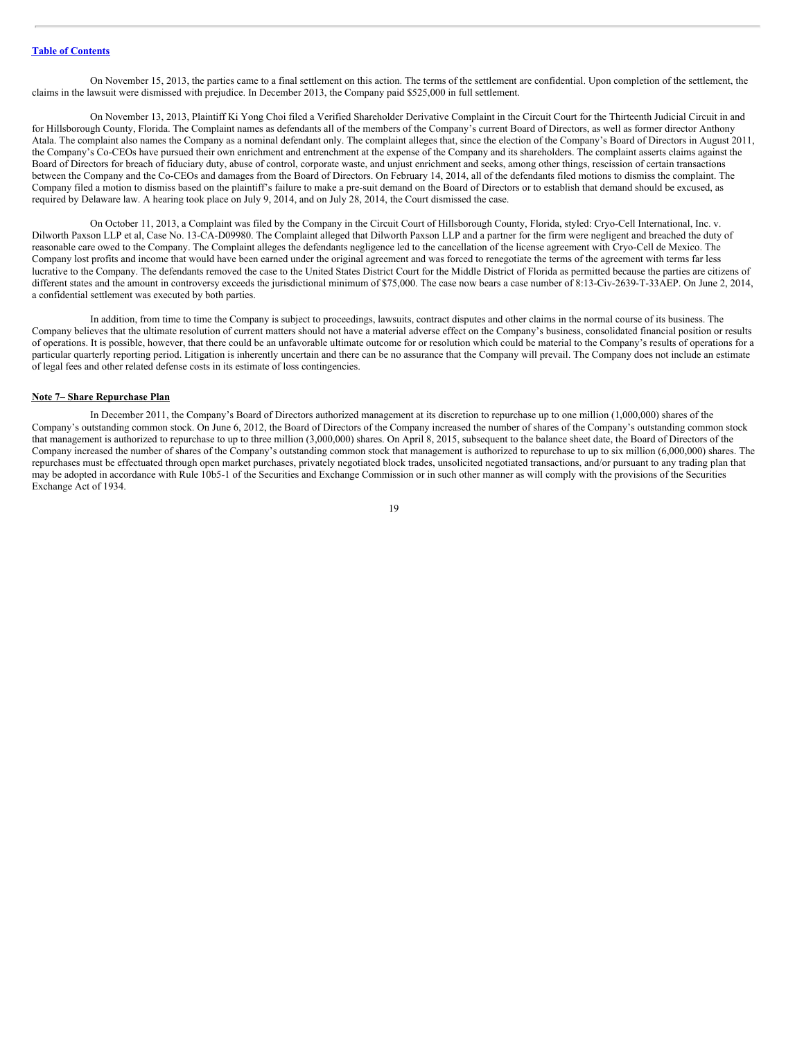On November 15, 2013, the parties came to a final settlement on this action. The terms of the settlement are confidential. Upon completion of the settlement, the claims in the lawsuit were dismissed with prejudice. In December 2013, the Company paid \$525,000 in full settlement.

On November 13, 2013, Plaintiff Ki Yong Choi filed a Verified Shareholder Derivative Complaint in the Circuit Court for the Thirteenth Judicial Circuit in and for Hillsborough County, Florida. The Complaint names as defendants all of the members of the Company's current Board of Directors, as well as former director Anthony Atala. The complaint also names the Company as a nominal defendant only. The complaint alleges that, since the election of the Company's Board of Directors in August 2011, the Company's Co-CEOs have pursued their own enrichment and entrenchment at the expense of the Company and its shareholders. The complaint asserts claims against the Board of Directors for breach of fiduciary duty, abuse of control, corporate waste, and unjust enrichment and seeks, among other things, rescission of certain transactions between the Company and the Co-CEOs and damages from the Board of Directors. On February 14, 2014, all of the defendants filed motions to dismiss the complaint. The Company filed a motion to dismiss based on the plaintiff's failure to make a pre-suit demand on the Board of Directors or to establish that demand should be excused, as required by Delaware law. A hearing took place on July 9, 2014, and on July 28, 2014, the Court dismissed the case.

On October 11, 2013, a Complaint was filed by the Company in the Circuit Court of Hillsborough County, Florida, styled: Cryo-Cell International, Inc. v. Dilworth Paxson LLP et al, Case No. 13-CA-D09980. The Complaint alleged that Dilworth Paxson LLP and a partner for the firm were negligent and breached the duty of reasonable care owed to the Company. The Complaint alleges the defendants negligence led to the cancellation of the license agreement with Cryo-Cell de Mexico. The Company lost profits and income that would have been earned under the original agreement and was forced to renegotiate the terms of the agreement with terms far less lucrative to the Company. The defendants removed the case to the United States District Court for the Middle District of Florida as permitted because the parties are citizens of different states and the amount in controversy exceeds the jurisdictional minimum of \$75,000. The case now bears a case number of 8:13-Civ-2639-T-33AEP. On June 2, 2014, a confidential settlement was executed by both parties.

In addition, from time to time the Company is subject to proceedings, lawsuits, contract disputes and other claims in the normal course of its business. The Company believes that the ultimate resolution of current matters should not have a material adverse effect on the Company's business, consolidated financial position or results of operations. It is possible, however, that there could be an unfavorable ultimate outcome for or resolution which could be material to the Company's results of operations for a particular quarterly reporting period. Litigation is inherently uncertain and there can be no assurance that the Company will prevail. The Company does not include an estimate of legal fees and other related defense costs in its estimate of loss contingencies.

#### **Note 7– Share Repurchase Plan**

In December 2011, the Company's Board of Directors authorized management at its discretion to repurchase up to one million (1,000,000) shares of the Company's outstanding common stock. On June 6, 2012, the Board of Directors of the Company increased the number of shares of the Company's outstanding common stock that management is authorized to repurchase to up to three million (3,000,000) shares. On April 8, 2015, subsequent to the balance sheet date, the Board of Directors of the Company increased the number of shares of the Company's outstanding common stock that management is authorized to repurchase to up to six million (6,000,000) shares. The repurchases must be effectuated through open market purchases, privately negotiated block trades, unsolicited negotiated transactions, and/or pursuant to any trading plan that may be adopted in accordance with Rule 10b5-1 of the Securities and Exchange Commission or in such other manner as will comply with the provisions of the Securities Exchange Act of 1934.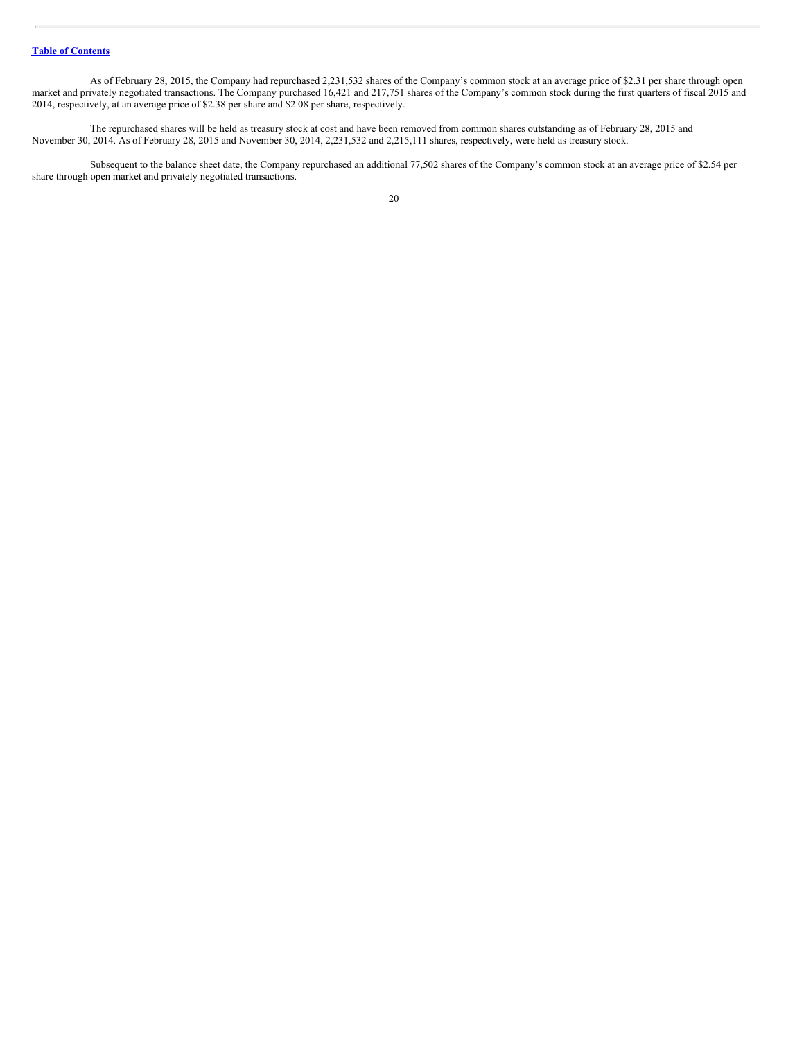As of February 28, 2015, the Company had repurchased 2,231,532 shares of the Company's common stock at an average price of \$2.31 per share through open market and privately negotiated transactions. The Company purchased 16,421 and 217,751 shares of the Company's common stock during the first quarters of fiscal 2015 and 2014, respectively, at an average price of \$2.38 per share and \$2.08 per share, respectively.

The repurchased shares will be held as treasury stock at cost and have been removed from common shares outstanding as of February 28, 2015 and November 30, 2014. As of February 28, 2015 and November 30, 2014, 2,231,532 and 2,215,111 shares, respectively, were held as treasury stock.

Subsequent to the balance sheet date, the Company repurchased an additional 77,502 shares of the Company's common stock at an average price of \$2.54 per share through open market and privately negotiated transactions.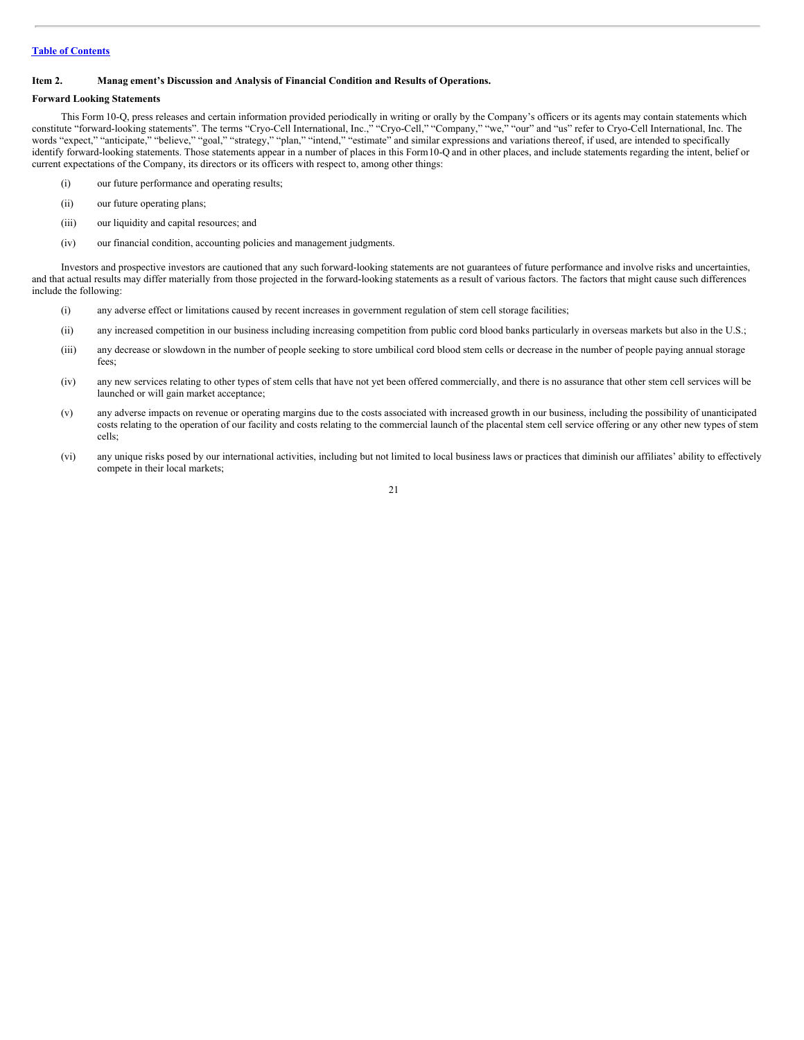#### <span id="page-20-0"></span>**Item 2. Manag ement's Discussion and Analysis of Financial Condition and Results of Operations.**

#### **Forward Looking Statements**

This Form 10-Q, press releases and certain information provided periodically in writing or orally by the Company's officers or its agents may contain statements which constitute "forward-looking statements". The terms "Cryo-Cell International, Inc.," "Cryo-Cell," "Company," "we," "our" and "us" refer to Cryo-Cell International, Inc. The words "expect," "anticipate," "believe," "goal," "strategy," "plan," "intend," "estimate" and similar expressions and variations thereof, if used, are intended to specifically identify forward-looking statements. Those statements appear in a number of places in this Form10-Q and in other places, and include statements regarding the intent, belief or current expectations of the Company, its directors or its officers with respect to, among other things:

- (i) our future performance and operating results;
- (ii) our future operating plans;
- (iii) our liquidity and capital resources; and
- (iv) our financial condition, accounting policies and management judgments.

Investors and prospective investors are cautioned that any such forward-looking statements are not guarantees of future performance and involve risks and uncertainties, and that actual results may differ materially from those projected in the forward-looking statements as a result of various factors. The factors that might cause such differences include the following:

- (i) any adverse effect or limitations caused by recent increases in government regulation of stem cell storage facilities;
- (ii) any increased competition in our business including increasing competition from public cord blood banks particularly in overseas markets but also in the U.S.;
- (iii) any decrease or slowdown in the number of people seeking to store umbilical cord blood stem cells or decrease in the number of people paying annual storage fees;
- (iv) any new services relating to other types of stem cells that have not yet been offered commercially, and there is no assurance that other stem cell services will be launched or will gain market acceptance;
- (v) any adverse impacts on revenue or operating margins due to the costs associated with increased growth in our business, including the possibility of unanticipated costs relating to the operation of our facility and costs relating to the commercial launch of the placental stem cell service offering or any other new types of stem cells;
- (vi) any unique risks posed by our international activities, including but not limited to local business laws or practices that diminish our affiliates' ability to effectively compete in their local markets;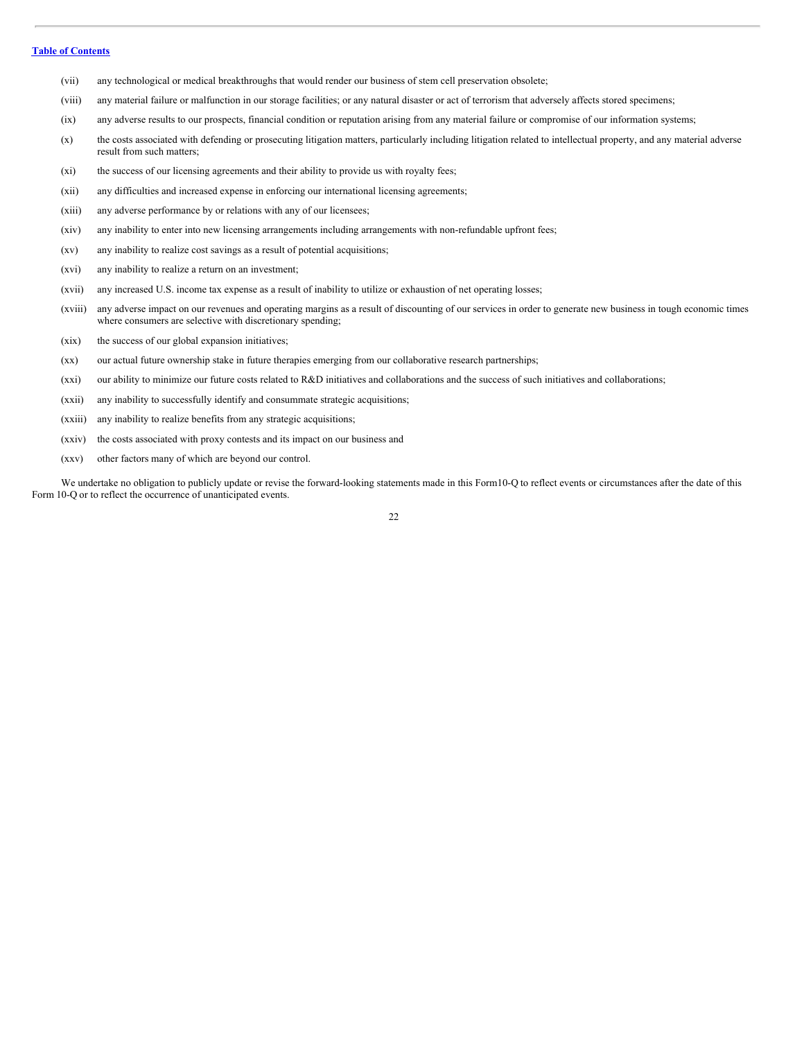- (vii) any technological or medical breakthroughs that would render our business of stem cell preservation obsolete;
- (viii) any material failure or malfunction in our storage facilities; or any natural disaster or act of terrorism that adversely affects stored specimens;
- (ix) any adverse results to our prospects, financial condition or reputation arising from any material failure or compromise of our information systems;
- (x) the costs associated with defending or prosecuting litigation matters, particularly including litigation related to intellectual property, and any material adverse result from such matters;
- (xi) the success of our licensing agreements and their ability to provide us with royalty fees;
- (xii) any difficulties and increased expense in enforcing our international licensing agreements;
- (xiii) any adverse performance by or relations with any of our licensees;
- (xiv) any inability to enter into new licensing arrangements including arrangements with non-refundable upfront fees;
- (xv) any inability to realize cost savings as a result of potential acquisitions;
- (xvi) any inability to realize a return on an investment;
- (xvii) any increased U.S. income tax expense as a result of inability to utilize or exhaustion of net operating losses;
- (xviii) any adverse impact on our revenues and operating margins as a result of discounting of our services in order to generate new business in tough economic times where consumers are selective with discretionary spending;
- (xix) the success of our global expansion initiatives;
- (xx) our actual future ownership stake in future therapies emerging from our collaborative research partnerships;
- (xxi) our ability to minimize our future costs related to R&D initiatives and collaborations and the success of such initiatives and collaborations;
- (xxii) any inability to successfully identify and consummate strategic acquisitions;
- (xxiii) any inability to realize benefits from any strategic acquisitions;
- (xxiv) the costs associated with proxy contests and its impact on our business and
- (xxv) other factors many of which are beyond our control.

We undertake no obligation to publicly update or revise the forward-looking statements made in this Form10-Q to reflect events or circumstances after the date of this Form 10-Q or to reflect the occurrence of unanticipated events.

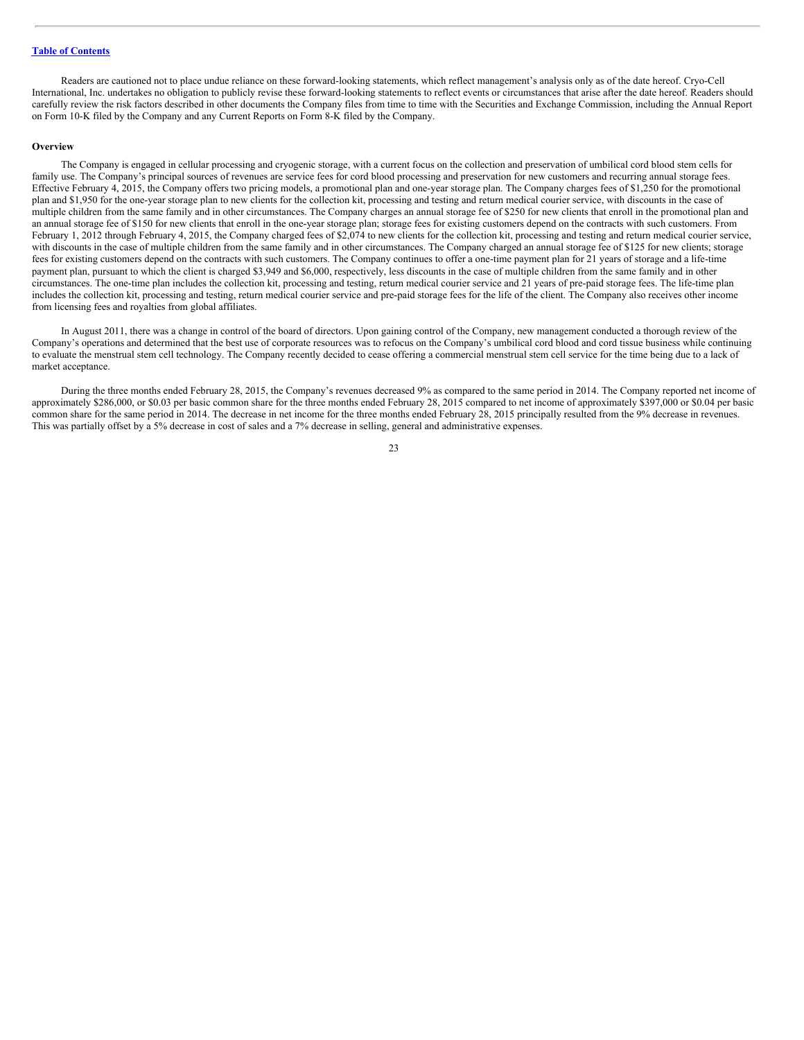Readers are cautioned not to place undue reliance on these forward-looking statements, which reflect management's analysis only as of the date hereof. Cryo-Cell International, Inc. undertakes no obligation to publicly revise these forward-looking statements to reflect events or circumstances that arise after the date hereof. Readers should carefully review the risk factors described in other documents the Company files from time to time with the Securities and Exchange Commission, including the Annual Report on Form 10-K filed by the Company and any Current Reports on Form 8-K filed by the Company.

#### **Overview**

The Company is engaged in cellular processing and cryogenic storage, with a current focus on the collection and preservation of umbilical cord blood stem cells for family use. The Company's principal sources of revenues are service fees for cord blood processing and preservation for new customers and recurring annual storage fees. Effective February 4, 2015, the Company offers two pricing models, a promotional plan and one-year storage plan. The Company charges fees of \$1,250 for the promotional plan and \$1,950 for the one-year storage plan to new clients for the collection kit, processing and testing and return medical courier service, with discounts in the case of multiple children from the same family and in other circumstances. The Company charges an annual storage fee of \$250 for new clients that enroll in the promotional plan and an annual storage fee of \$150 for new clients that enroll in the one-year storage plan; storage fees for existing customers depend on the contracts with such customers. From February 1, 2012 through February 4, 2015, the Company charged fees of \$2,074 to new clients for the collection kit, processing and testing and return medical courier service, with discounts in the case of multiple children from the same family and in other circumstances. The Company charged an annual storage fee of \$125 for new clients; storage fees for existing customers depend on the contracts with such customers. The Company continues to offer a one-time payment plan for 21 years of storage and a life-time payment plan, pursuant to which the client is charged \$3,949 and \$6,000, respectively, less discounts in the case of multiple children from the same family and in other circumstances. The one-time plan includes the collection kit, processing and testing, return medical courier service and 21 years of pre-paid storage fees. The life-time plan includes the collection kit, processing and testing, return medical courier service and pre-paid storage fees for the life of the client. The Company also receives other income from licensing fees and royalties from global affiliates.

In August 2011, there was a change in control of the board of directors. Upon gaining control of the Company, new management conducted a thorough review of the Company's operations and determined that the best use of corporate resources was to refocus on the Company's umbilical cord blood and cord tissue business while continuing to evaluate the menstrual stem cell technology. The Company recently decided to cease offering a commercial menstrual stem cell service for the time being due to a lack of market acceptance.

During the three months ended February 28, 2015, the Company's revenues decreased 9% as compared to the same period in 2014. The Company reported net income of approximately \$286,000, or \$0.03 per basic common share for the three months ended February 28, 2015 compared to net income of approximately \$397,000 or \$0.04 per basic common share for the same period in 2014. The decrease in net income for the three months ended February 28, 2015 principally resulted from the 9% decrease in revenues. This was partially offset by a 5% decrease in cost of sales and a 7% decrease in selling, general and administrative expenses.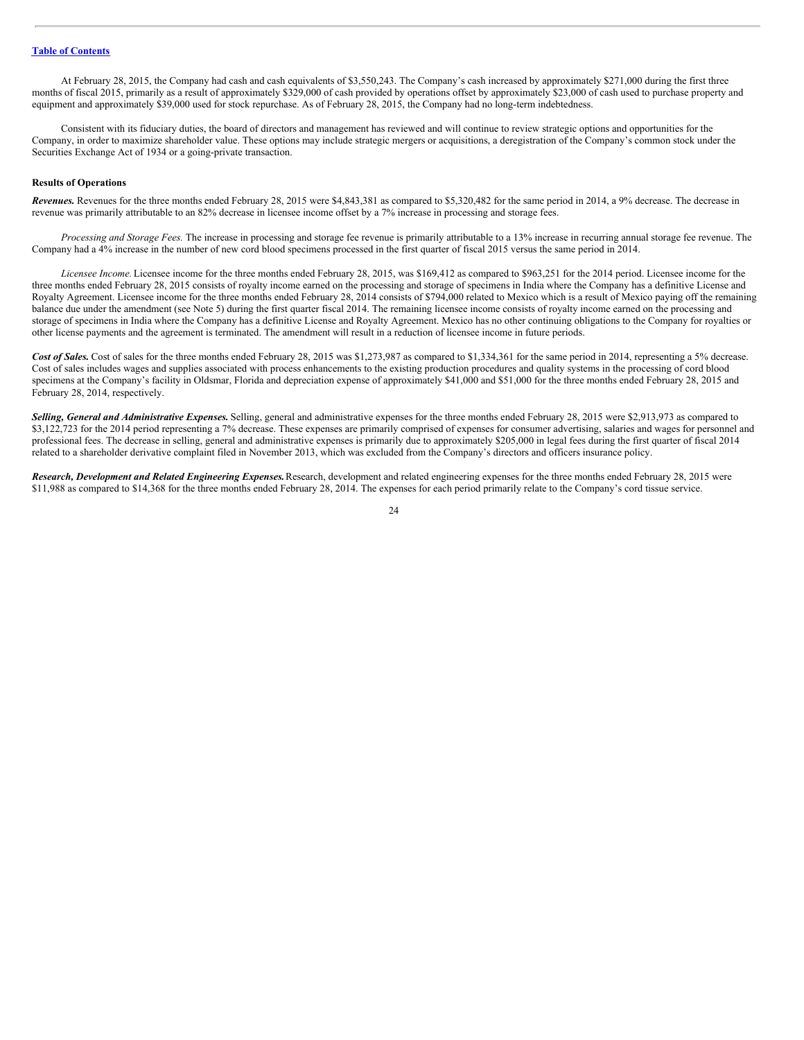At February 28, 2015, the Company had cash and cash equivalents of \$3,550,243. The Company's cash increased by approximately \$271,000 during the first three months of fiscal 2015, primarily as a result of approximately \$329,000 of cash provided by operations offset by approximately \$23,000 of cash used to purchase property and equipment and approximately \$39,000 used for stock repurchase. As of February 28, 2015, the Company had no long-term indebtedness.

Consistent with its fiduciary duties, the board of directors and management has reviewed and will continue to review strategic options and opportunities for the Company, in order to maximize shareholder value. These options may include strategic mergers or acquisitions, a deregistration of the Company's common stock under the Securities Exchange Act of 1934 or a going-private transaction.

#### **Results of Operations**

*Revenues.* Revenues for the three months ended February 28, 2015 were \$4,843,381 as compared to \$5,320,482 for the same period in 2014, a 9% decrease. The decrease in revenue was primarily attributable to an 82% decrease in licensee income offset by a 7% increase in processing and storage fees.

*Processing and Storage Fees.* The increase in processing and storage fee revenue is primarily attributable to a 13% increase in recurring annual storage fee revenue. The Company had a 4% increase in the number of new cord blood specimens processed in the first quarter of fiscal 2015 versus the same period in 2014.

*Licensee Income.* Licensee income for the three months ended February 28, 2015, was \$169,412 as compared to \$963,251 for the 2014 period. Licensee income for the three months ended February 28, 2015 consists of royalty income earned on the processing and storage of specimens in India where the Company has a definitive License and Royalty Agreement. Licensee income for the three months ended February 28, 2014 consists of \$794,000 related to Mexico which is a result of Mexico paying off the remaining balance due under the amendment (see Note 5) during the first quarter fiscal 2014. The remaining licensee income consists of royalty income earned on the processing and storage of specimens in India where the Company has a definitive License and Royalty Agreement. Mexico has no other continuing obligations to the Company for royalties or other license payments and the agreement is terminated. The amendment will result in a reduction of licensee income in future periods.

Cost of Sales. Cost of sales for the three months ended February 28, 2015 was \$1,273,987 as compared to \$1,334,361 for the same period in 2014, representing a 5% decrease. Cost of sales includes wages and supplies associated with process enhancements to the existing production procedures and quality systems in the processing of cord blood specimens at the Company's facility in Oldsmar, Florida and depreciation expense of approximately \$41,000 and \$51,000 for the three months ended February 28, 2015 and February 28, 2014, respectively.

*Selling, General and Administrative Expenses.* Selling, general and administrative expenses for the three months ended February 28, 2015 were \$2,913,973 as compared to \$3,122,723 for the 2014 period representing a 7% decrease. These expenses are primarily comprised of expenses for consumer advertising, salaries and wages for personnel and professional fees. The decrease in selling, general and administrative expenses is primarily due to approximately \$205,000 in legal fees during the first quarter of fiscal 2014 related to a shareholder derivative complaint filed in November 2013, which was excluded from the Company's directors and officers insurance policy.

*Research, Development and Related Engineering Expenses.*Research, development and related engineering expenses for the three months ended February 28, 2015 were \$11,988 as compared to \$14,368 for the three months ended February 28, 2014. The expenses for each period primarily relate to the Company's cord tissue service.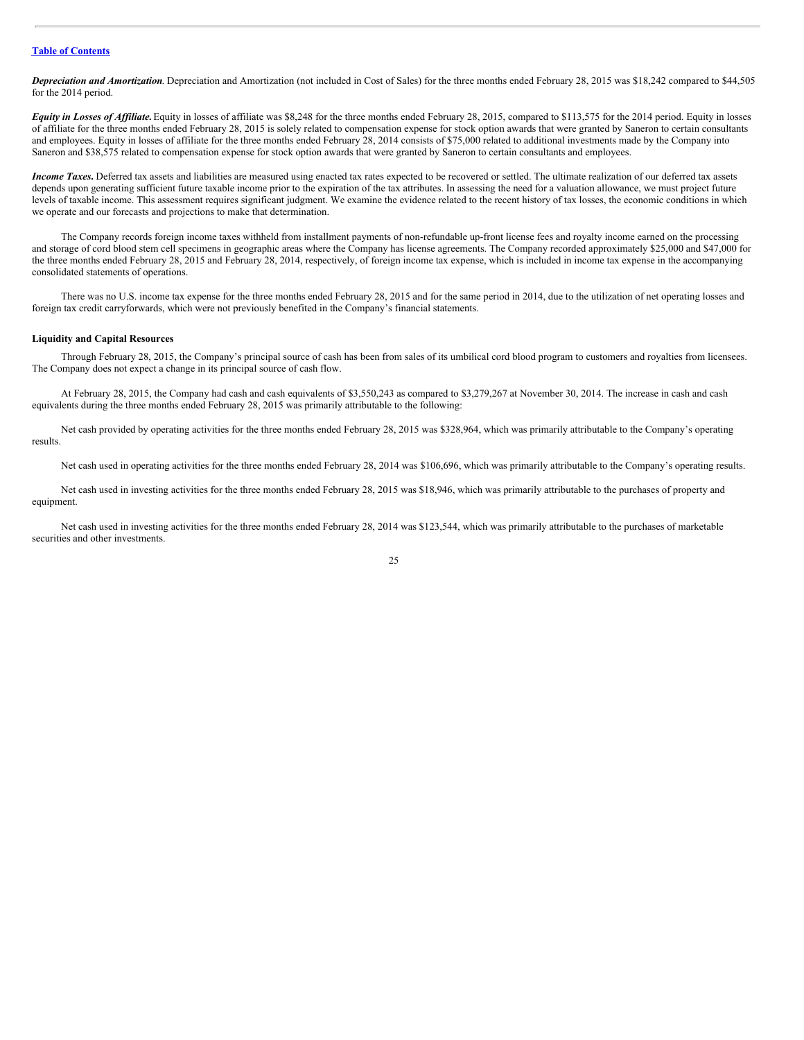*Depreciation and Amortization*. Depreciation and Amortization (not included in Cost of Sales) for the three months ended February 28, 2015 was \$18,242 compared to \$44,505 for the 2014 period.

*Equity in Losses of Af iliate.*Equity in losses of affiliate was \$8,248 for the three months ended February 28, 2015, compared to \$113,575 for the 2014 period. Equity in losses of affiliate for the three months ended February 28, 2015 is solely related to compensation expense for stock option awards that were granted by Saneron to certain consultants and employees. Equity in losses of affiliate for the three months ended February 28, 2014 consists of \$75,000 related to additional investments made by the Company into Saneron and \$38,575 related to compensation expense for stock option awards that were granted by Saneron to certain consultants and employees.

*Income Taxes*. Deferred tax assets and liabilities are measured using enacted tax rates expected to be recovered or settled. The ultimate realization of our deferred tax assets depends upon generating sufficient future taxable income prior to the expiration of the tax attributes. In assessing the need for a valuation allowance, we must project future levels of taxable income. This assessment requires significant judgment. We examine the evidence related to the recent history of tax losses, the economic conditions in which we operate and our forecasts and projections to make that determination.

The Company records foreign income taxes withheld from installment payments of non-refundable up-front license fees and royalty income earned on the processing and storage of cord blood stem cell specimens in geographic areas where the Company has license agreements. The Company recorded approximately \$25,000 and \$47,000 for the three months ended February 28, 2015 and February 28, 2014, respectively, of foreign income tax expense, which is included in income tax expense in the accompanying consolidated statements of operations.

There was no U.S. income tax expense for the three months ended February 28, 2015 and for the same period in 2014, due to the utilization of net operating losses and foreign tax credit carryforwards, which were not previously benefited in the Company's financial statements.

#### **Liquidity and Capital Resources**

Through February 28, 2015, the Company's principal source of cash has been from sales of its umbilical cord blood program to customers and royalties from licensees. The Company does not expect a change in its principal source of cash flow.

At February 28, 2015, the Company had cash and cash equivalents of \$3,550,243 as compared to \$3,279,267 at November 30, 2014. The increase in cash and cash equivalents during the three months ended February 28, 2015 was primarily attributable to the following:

Net cash provided by operating activities for the three months ended February 28, 2015 was \$328,964, which was primarily attributable to the Company's operating results.

Net cash used in operating activities for the three months ended February 28, 2014 was \$106,696, which was primarily attributable to the Company's operating results.

Net cash used in investing activities for the three months ended February 28, 2015 was \$18,946, which was primarily attributable to the purchases of property and equipment.

Net cash used in investing activities for the three months ended February 28, 2014 was \$123,544, which was primarily attributable to the purchases of marketable securities and other investments.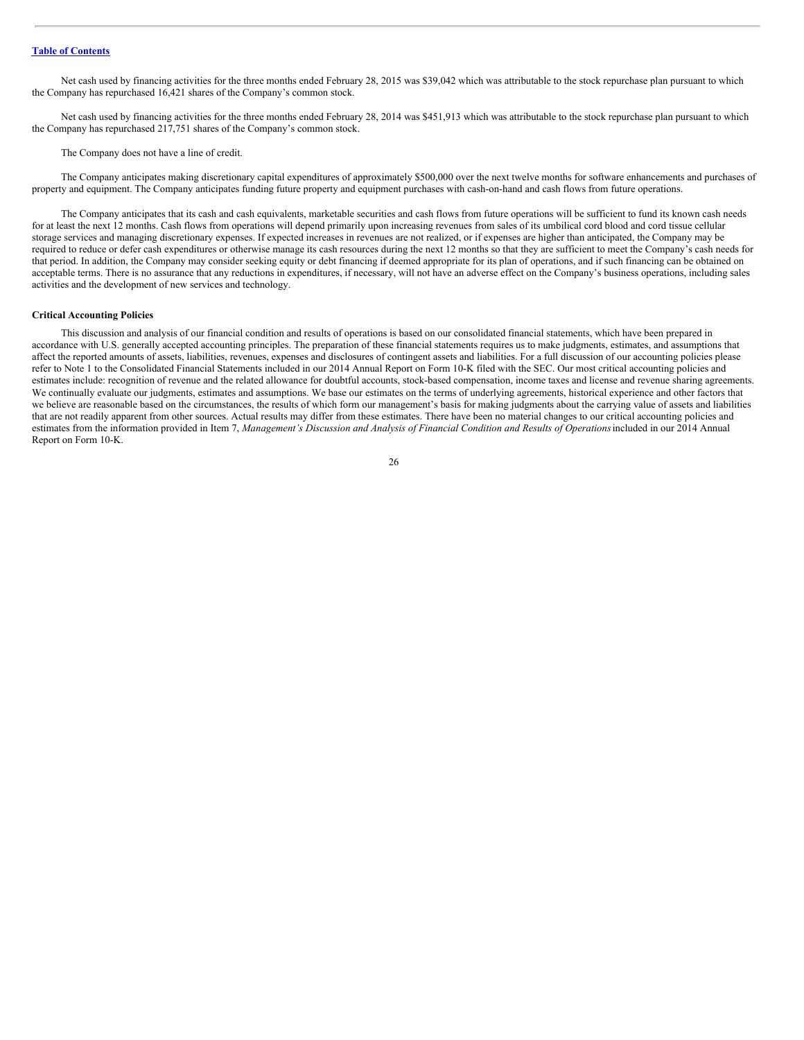Net cash used by financing activities for the three months ended February 28, 2015 was \$39,042 which was attributable to the stock repurchase plan pursuant to which the Company has repurchased 16,421 shares of the Company's common stock.

Net cash used by financing activities for the three months ended February 28, 2014 was \$451,913 which was attributable to the stock repurchase plan pursuant to which the Company has repurchased 217,751 shares of the Company's common stock.

The Company does not have a line of credit.

The Company anticipates making discretionary capital expenditures of approximately \$500,000 over the next twelve months for software enhancements and purchases of property and equipment. The Company anticipates funding future property and equipment purchases with cash-on-hand and cash flows from future operations.

The Company anticipates that its cash and cash equivalents, marketable securities and cash flows from future operations will be sufficient to fund its known cash needs for at least the next 12 months. Cash flows from operations will depend primarily upon increasing revenues from sales of its umbilical cord blood and cord tissue cellular storage services and managing discretionary expenses. If expected increases in revenues are not realized, or if expenses are higher than anticipated, the Company may be required to reduce or defer cash expenditures or otherwise manage its cash resources during the next 12 months so that they are sufficient to meet the Company's cash needs for that period. In addition, the Company may consider seeking equity or debt financing if deemed appropriate for its plan of operations, and if such financing can be obtained on acceptable terms. There is no assurance that any reductions in expenditures, if necessary, will not have an adverse effect on the Company's business operations, including sales activities and the development of new services and technology.

#### **Critical Accounting Policies**

This discussion and analysis of our financial condition and results of operations is based on our consolidated financial statements, which have been prepared in accordance with U.S. generally accepted accounting principles. The preparation of these financial statements requires us to make judgments, estimates, and assumptions that affect the reported amounts of assets, liabilities, revenues, expenses and disclosures of contingent assets and liabilities. For a full discussion of our accounting policies please refer to Note 1 to the Consolidated Financial Statements included in our 2014 Annual Report on Form 10-K filed with the SEC. Our most critical accounting policies and estimates include: recognition of revenue and the related allowance for doubtful accounts, stock-based compensation, income taxes and license and revenue sharing agreements. We continually evaluate our judgments, estimates and assumptions. We base our estimates on the terms of underlying agreements, historical experience and other factors that we believe are reasonable based on the circumstances, the results of which form our management's basis for making judgments about the carrying value of assets and liabilities that are not readily apparent from other sources. Actual results may differ from these estimates. There have been no material changes to our critical accounting policies and estimates from the information provided in Item 7, Management's Discussion and Analysis of Financial Condition and Results of Operations included in our 2014 Annual Report on Form 10-K.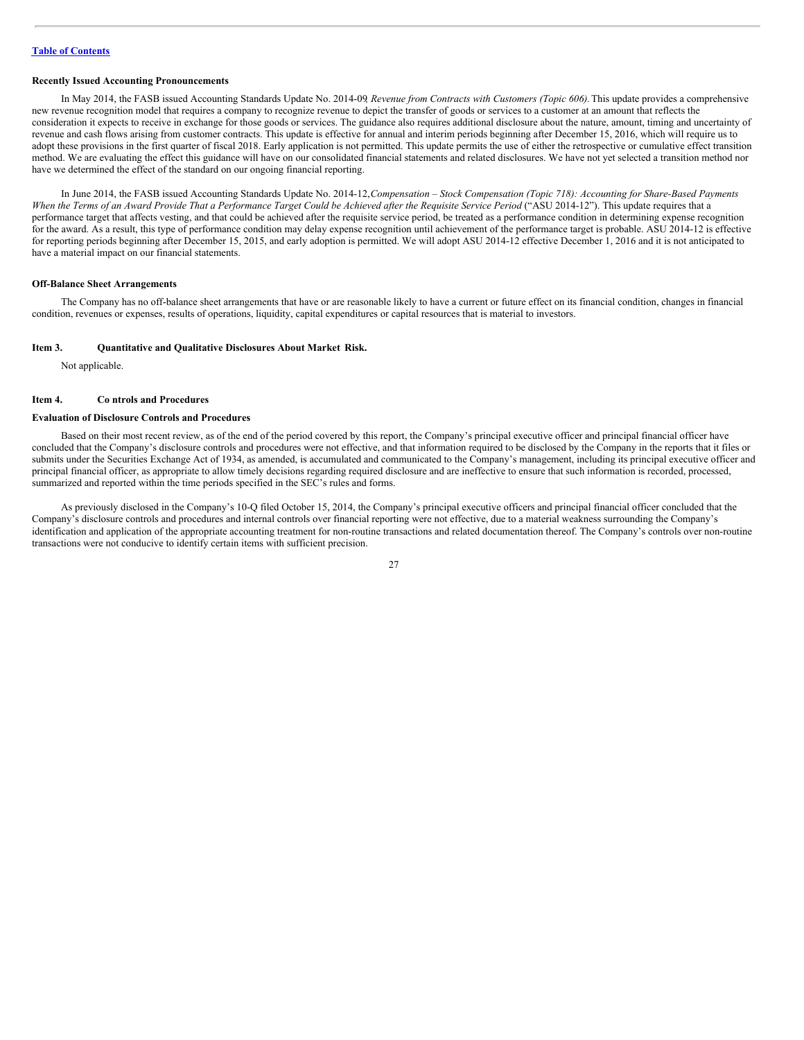#### **Recently Issued Accounting Pronouncements**

In May 2014, the FASB issued Accounting Standards Update No. 2014-09*, Revenue from Contracts with Customers (Topic 606).*This update provides a comprehensive new revenue recognition model that requires a company to recognize revenue to depict the transfer of goods or services to a customer at an amount that reflects the consideration it expects to receive in exchange for those goods or services. The guidance also requires additional disclosure about the nature, amount, timing and uncertainty of revenue and cash flows arising from customer contracts. This update is effective for annual and interim periods beginning after December 15, 2016, which will require us to adopt these provisions in the first quarter of fiscal 2018. Early application is not permitted. This update permits the use of either the retrospective or cumulative effect transition method. We are evaluating the effect this guidance will have on our consolidated financial statements and related disclosures. We have not yet selected a transition method nor have we determined the effect of the standard on our ongoing financial reporting.

In June 2014, the FASB issued Accounting Standards Update No. 2014-12,*Compensation – Stock Compensation (Topic 718): Accounting for Share-Based Payments* When the Terms of an Award Provide That a Performance Target Could be Achieved after the Requisite Service Period ("ASU 2014-12"). This update requires that a performance target that affects vesting, and that could be achieved after the requisite service period, be treated as a performance condition in determining expense recognition for the award. As a result, this type of performance condition may delay expense recognition until achievement of the performance target is probable. ASU 2014-12 is effective for reporting periods beginning after December 15, 2015, and early adoption is permitted. We will adopt ASU 2014-12 effective December 1, 2016 and it is not anticipated to have a material impact on our financial statements.

#### **Off-Balance Sheet Arrangements**

The Company has no off-balance sheet arrangements that have or are reasonable likely to have a current or future effect on its financial condition, changes in financial condition, revenues or expenses, results of operations, liquidity, capital expenditures or capital resources that is material to investors.

#### **Item 3. Quantitative and Qualitative Disclosures About Market Risk.**

<span id="page-26-1"></span>Not applicable.

#### **Item 4. Co ntrols and Procedures**

#### **Evaluation of Disclosure Controls and Procedures**

Based on their most recent review, as of the end of the period covered by this report, the Company's principal executive officer and principal financial officer have concluded that the Company's disclosure controls and procedures were not effective, and that information required to be disclosed by the Company in the reports that it files or submits under the Securities Exchange Act of 1934, as amended, is accumulated and communicated to the Company's management, including its principal executive officer and principal financial officer, as appropriate to allow timely decisions regarding required disclosure and are ineffective to ensure that such information is recorded, processed, summarized and reported within the time periods specified in the SEC's rules and forms.

As previously disclosed in the Company's 10-Q filed October 15, 2014, the Company's principal executive officers and principal financial officer concluded that the Company's disclosure controls and procedures and internal controls over financial reporting were not effective, due to a material weakness surrounding the Company's identification and application of the appropriate accounting treatment for non-routine transactions and related documentation thereof. The Company's controls over non-routine transactions were not conducive to identify certain items with sufficient precision.

<span id="page-26-0"></span>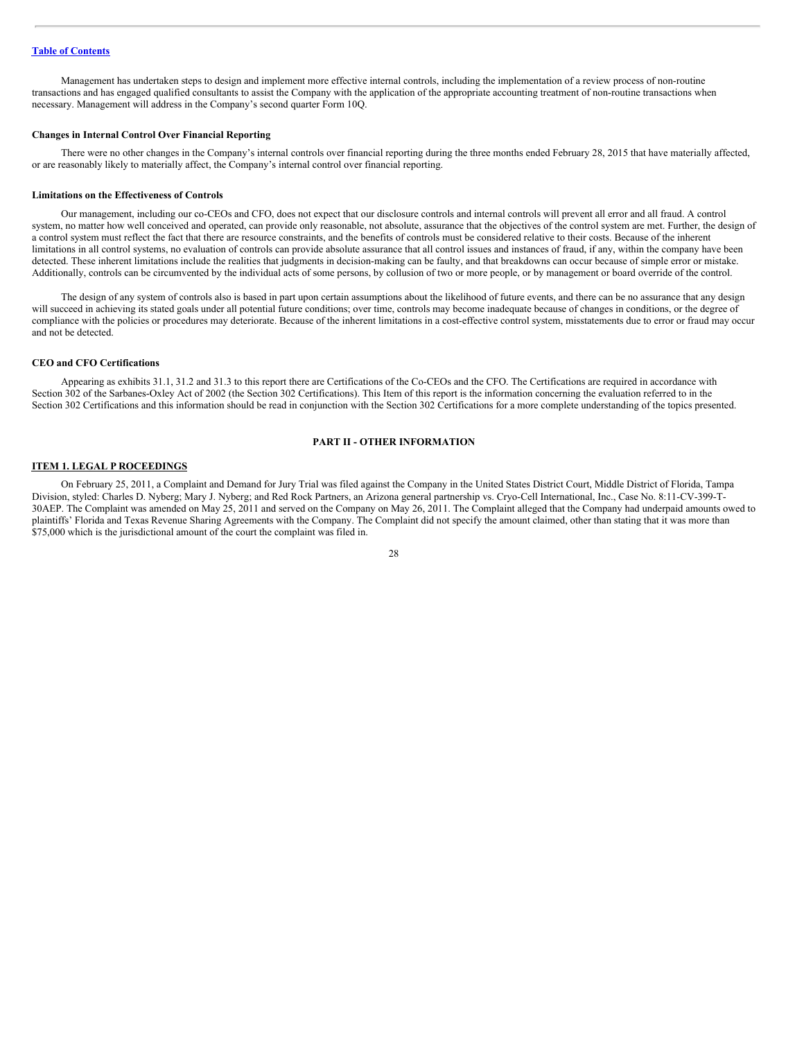Management has undertaken steps to design and implement more effective internal controls, including the implementation of a review process of non-routine transactions and has engaged qualified consultants to assist the Company with the application of the appropriate accounting treatment of non-routine transactions when necessary. Management will address in the Company's second quarter Form 10Q.

#### **Changes in Internal Control Over Financial Reporting**

There were no other changes in the Company's internal controls over financial reporting during the three months ended February 28, 2015 that have materially affected, or are reasonably likely to materially affect, the Company's internal control over financial reporting.

#### **Limitations on the Effectiveness of Controls**

Our management, including our co-CEOs and CFO, does not expect that our disclosure controls and internal controls will prevent all error and all fraud. A control system, no matter how well conceived and operated, can provide only reasonable, not absolute, assurance that the objectives of the control system are met. Further, the design of a control system must reflect the fact that there are resource constraints, and the benefits of controls must be considered relative to their costs. Because of the inherent limitations in all control systems, no evaluation of controls can provide absolute assurance that all control issues and instances of fraud, if any, within the company have been detected. These inherent limitations include the realities that judgments in decision-making can be faulty, and that breakdowns can occur because of simple error or mistake. Additionally, controls can be circumvented by the individual acts of some persons, by collusion of two or more people, or by management or board override of the control.

The design of any system of controls also is based in part upon certain assumptions about the likelihood of future events, and there can be no assurance that any design will succeed in achieving its stated goals under all potential future conditions; over time, controls may become inadequate because of changes in conditions, or the degree of compliance with the policies or procedures may deteriorate. Because of the inherent limitations in a cost-effective control system, misstatements due to error or fraud may occur and not be detected.

#### **CEO and CFO Certifications**

Appearing as exhibits 31.1, 31.2 and 31.3 to this report there are Certifications of the Co-CEOs and the CFO. The Certifications are required in accordance with Section 302 of the Sarbanes-Oxley Act of 2002 (the Section 302 Certifications). This Item of this report is the information concerning the evaluation referred to in the Section 302 Certifications and this information should be read in conjunction with the Section 302 Certifications for a more complete understanding of the topics presented.

# **PART II - OTHER INFORMATION**

#### <span id="page-27-0"></span>**ITEM 1. LEGAL P ROCEEDINGS**

On February 25, 2011, a Complaint and Demand for Jury Trial was filed against the Company in the United States District Court, Middle District of Florida, Tampa Division, styled: Charles D. Nyberg; Mary J. Nyberg; and Red Rock Partners, an Arizona general partnership vs. Cryo-Cell International, Inc., Case No. 8:11-CV-399-T-30AEP. The Complaint was amended on May 25, 2011 and served on the Company on May 26, 2011. The Complaint alleged that the Company had underpaid amounts owed to plaintiffs' Florida and Texas Revenue Sharing Agreements with the Company. The Complaint did not specify the amount claimed, other than stating that it was more than \$75,000 which is the jurisdictional amount of the court the complaint was filed in.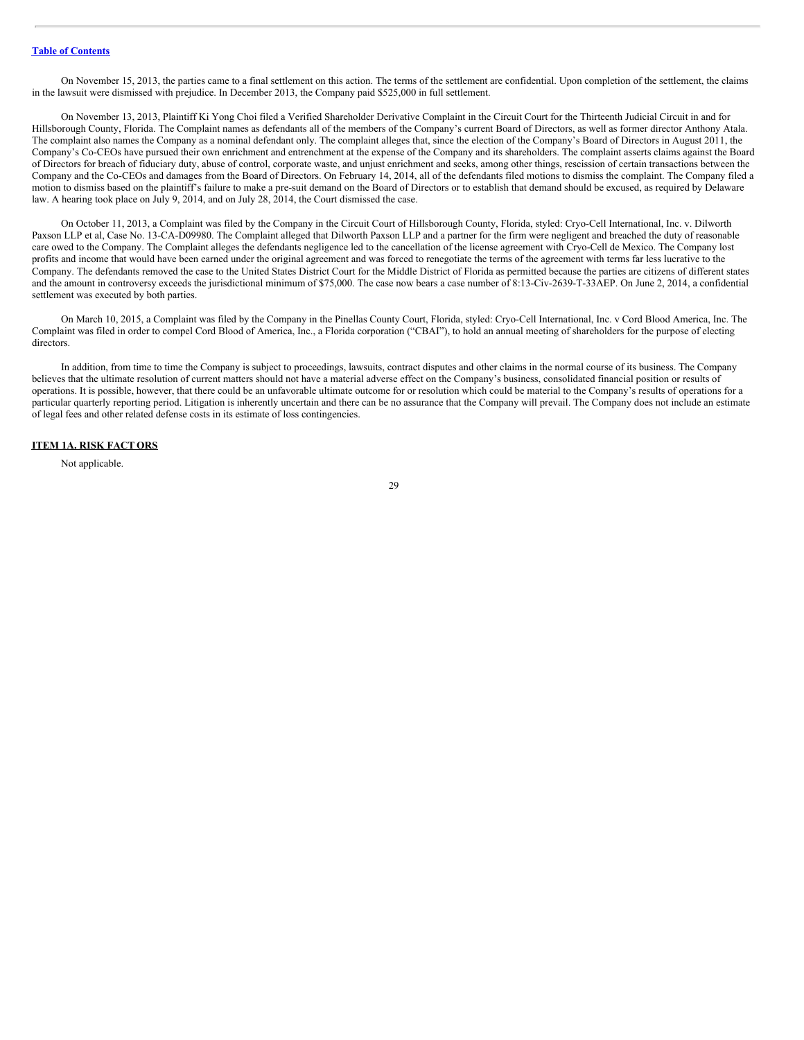On November 15, 2013, the parties came to a final settlement on this action. The terms of the settlement are confidential. Upon completion of the settlement, the claims in the lawsuit were dismissed with prejudice. In December 2013, the Company paid \$525,000 in full settlement.

On November 13, 2013, Plaintiff Ki Yong Choi filed a Verified Shareholder Derivative Complaint in the Circuit Court for the Thirteenth Judicial Circuit in and for Hillsborough County, Florida. The Complaint names as defendants all of the members of the Company's current Board of Directors, as well as former director Anthony Atala. The complaint also names the Company as a nominal defendant only. The complaint alleges that, since the election of the Company's Board of Directors in August 2011, the Company's Co-CEOs have pursued their own enrichment and entrenchment at the expense of the Company and its shareholders. The complaint asserts claims against the Board of Directors for breach of fiduciary duty, abuse of control, corporate waste, and unjust enrichment and seeks, among other things, rescission of certain transactions between the Company and the Co-CEOs and damages from the Board of Directors. On February 14, 2014, all of the defendants filed motions to dismiss the complaint. The Company filed a motion to dismiss based on the plaintiff's failure to make a pre-suit demand on the Board of Directors or to establish that demand should be excused, as required by Delaware law. A hearing took place on July 9, 2014, and on July 28, 2014, the Court dismissed the case.

On October 11, 2013, a Complaint was filed by the Company in the Circuit Court of Hillsborough County, Florida, styled: Cryo-Cell International, Inc. v. Dilworth Paxson LLP et al, Case No. 13-CA-D09980. The Complaint alleged that Dilworth Paxson LLP and a partner for the firm were negligent and breached the duty of reasonable care owed to the Company. The Complaint alleges the defendants negligence led to the cancellation of the license agreement with Cryo-Cell de Mexico. The Company lost profits and income that would have been earned under the original agreement and was forced to renegotiate the terms of the agreement with terms far less lucrative to the Company. The defendants removed the case to the United States District Court for the Middle District of Florida as permitted because the parties are citizens of different states and the amount in controversy exceeds the jurisdictional minimum of \$75,000. The case now bears a case number of 8:13-Civ-2639-T-33AEP. On June 2, 2014, a confidential settlement was executed by both parties.

On March 10, 2015, a Complaint was filed by the Company in the Pinellas County Court, Florida, styled: Cryo-Cell International, Inc. v Cord Blood America, Inc. The Complaint was filed in order to compel Cord Blood of America, Inc., a Florida corporation ("CBAI"), to hold an annual meeting of shareholders for the purpose of electing directors.

In addition, from time to time the Company is subject to proceedings, lawsuits, contract disputes and other claims in the normal course of its business. The Company believes that the ultimate resolution of current matters should not have a material adverse effect on the Company's business, consolidated financial position or results of operations. It is possible, however, that there could be an unfavorable ultimate outcome for or resolution which could be material to the Company's results of operations for a particular quarterly reporting period. Litigation is inherently uncertain and there can be no assurance that the Company will prevail. The Company does not include an estimate of legal fees and other related defense costs in its estimate of loss contingencies.

## **ITEM 1A. RISK FACT ORS**

<span id="page-28-0"></span>Not applicable.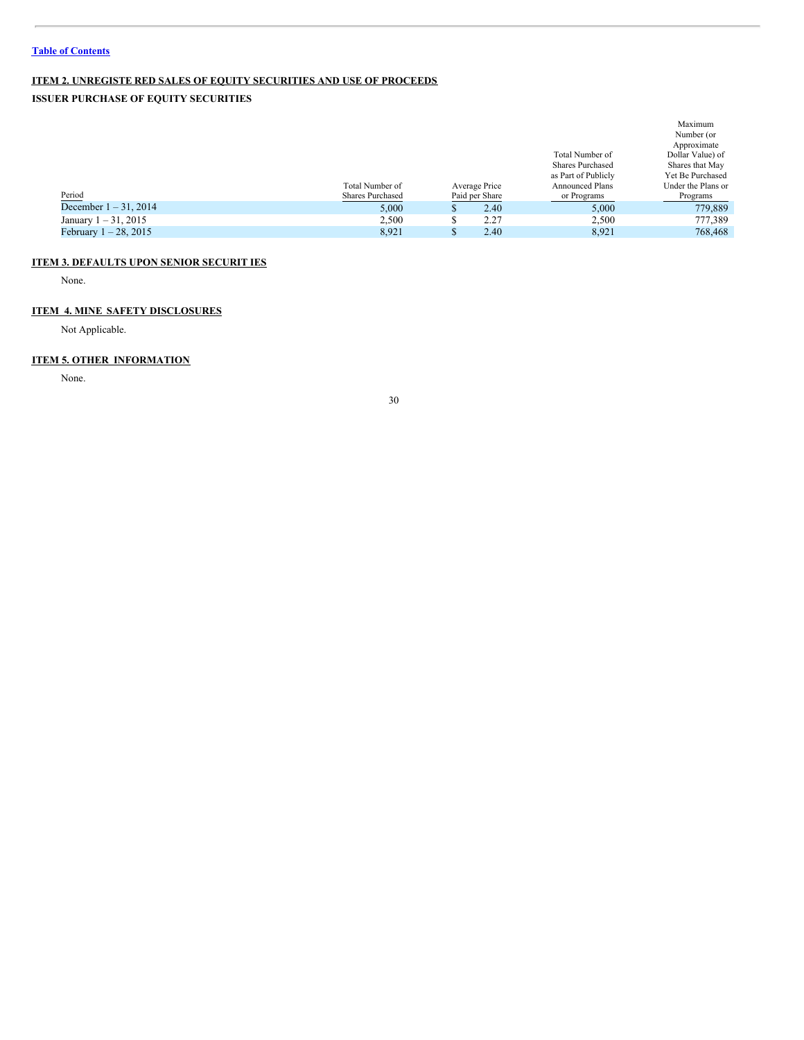# **ITEM 2. UNREGISTE RED SALES OF EQUITY SECURITIES AND USE OF PROCEEDS**

# **ISSUER PURCHASE OF EQUITY SECURITIES**

<span id="page-29-0"></span>

|                          |                         |                |                         | Maximum            |
|--------------------------|-------------------------|----------------|-------------------------|--------------------|
|                          |                         |                |                         | Number (or         |
|                          |                         |                |                         | Approximate        |
|                          |                         |                | Total Number of         | Dollar Value) of   |
|                          |                         |                | <b>Shares Purchased</b> | Shares that May    |
|                          |                         |                | as Part of Publicly     | Yet Be Purchased   |
|                          | Total Number of         | Average Price  | <b>Announced Plans</b>  | Under the Plans or |
| Period                   | <b>Shares Purchased</b> | Paid per Share | or Programs             | Programs           |
| December $1 - 31$ , 2014 | 5,000                   | 2.40           | 5,000                   | 779.889            |
| January $1 - 31$ , 2015  | 2.500                   | 2.27           | 2.500                   | 777,389            |
| February $1 - 28$ , 2015 | 8,921                   | 2.40           | 8.921                   | 768,468            |

# **ITEM 3. DEFAULTS UPON SENIOR SECURIT IES**

<span id="page-29-1"></span>None.

# **ITEM 4. MINE SAFETY DISCLOSURES**

<span id="page-29-2"></span>Not Applicable.

# **ITEM 5. OTHER INFORMATION**

<span id="page-29-3"></span>None.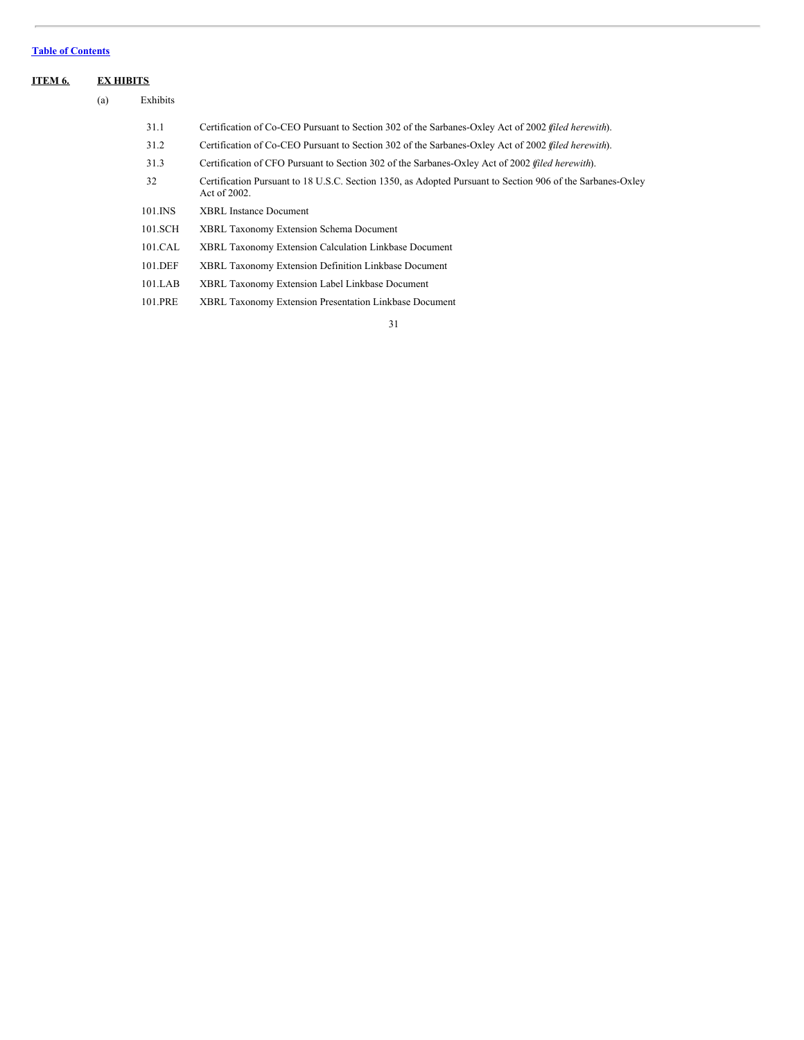<span id="page-30-0"></span>

| <b>ITEM 6.</b> |     | <b>EX HIBITS</b> |                                                                                                                            |  |
|----------------|-----|------------------|----------------------------------------------------------------------------------------------------------------------------|--|
|                | (a) | Exhibits         |                                                                                                                            |  |
|                |     | 31.1             | Certification of Co-CEO Pursuant to Section 302 of the Sarbanes-Oxley Act of 2002 <i>filed herewith</i> ).                 |  |
|                |     | 31.2             | Certification of Co-CEO Pursuant to Section 302 of the Sarbanes-Oxley Act of 2002 <i>filed herewith</i> ).                 |  |
|                |     | 31.3             | Certification of CFO Pursuant to Section 302 of the Sarbanes-Oxley Act of 2002 (filed herewith).                           |  |
|                |     | 32               | Certification Pursuant to 18 U.S.C. Section 1350, as Adopted Pursuant to Section 906 of the Sarbanes-Oxley<br>Act of 2002. |  |
|                |     | 101.INS          | <b>XBRL Instance Document</b>                                                                                              |  |
|                |     | 101.SCH          | <b>XBRL Taxonomy Extension Schema Document</b>                                                                             |  |
|                |     | 101.CAL          | <b>XBRL Taxonomy Extension Calculation Linkbase Document</b>                                                               |  |
|                |     | 101.DEF          | <b>XBRL Taxonomy Extension Definition Linkbase Document</b>                                                                |  |
|                |     | 101.LAB          | XBRL Taxonomy Extension Label Linkbase Document                                                                            |  |
|                |     | 101.PRE          | XBRL Taxonomy Extension Presentation Linkbase Document                                                                     |  |
|                |     |                  |                                                                                                                            |  |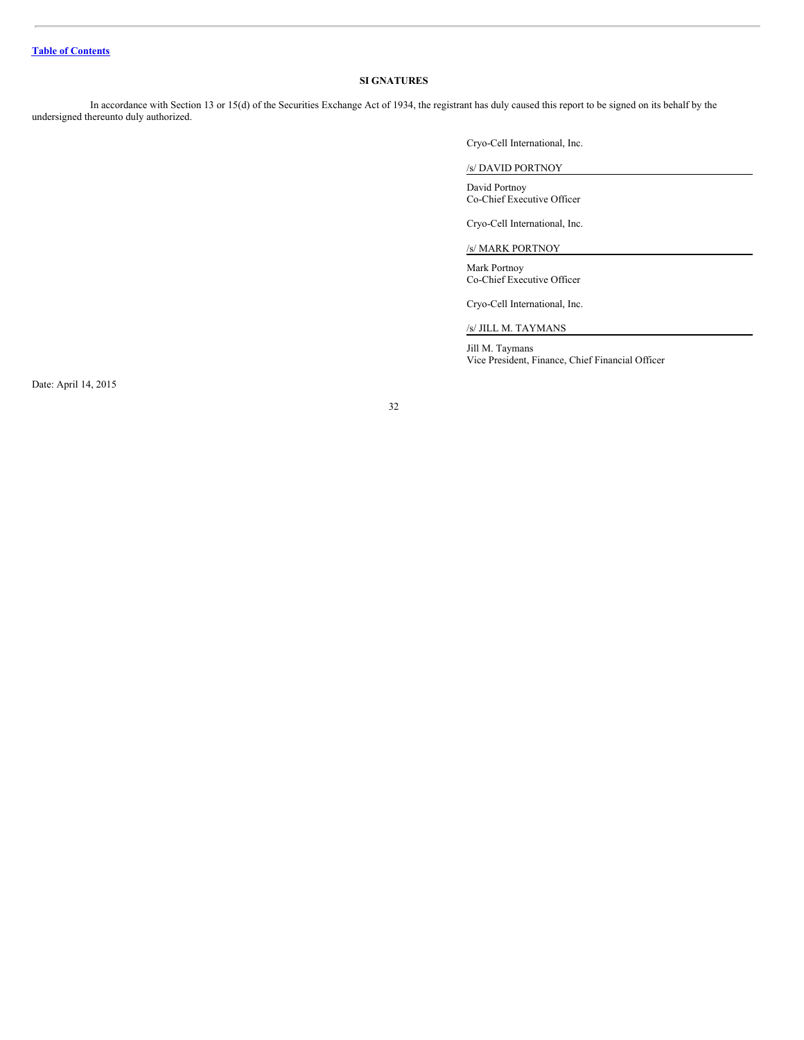# <span id="page-31-0"></span>**SI GNATURES**

In accordance with Section 13 or 15(d) of the Securities Exchange Act of 1934, the registrant has duly caused this report to be signed on its behalf by the undersigned thereunto duly authorized.

Cryo-Cell International, Inc.

# /s/ DAVID PORTNOY

David Portnoy Co-Chief Executive Officer

Cryo-Cell International, Inc.

/s/ MARK PORTNOY

Mark Portnoy Co-Chief Executive Officer

Cryo-Cell International, Inc.

/s/ JILL M. TAYMANS

Jill M. Taymans Vice President, Finance, Chief Financial Officer

Date: April 14, 2015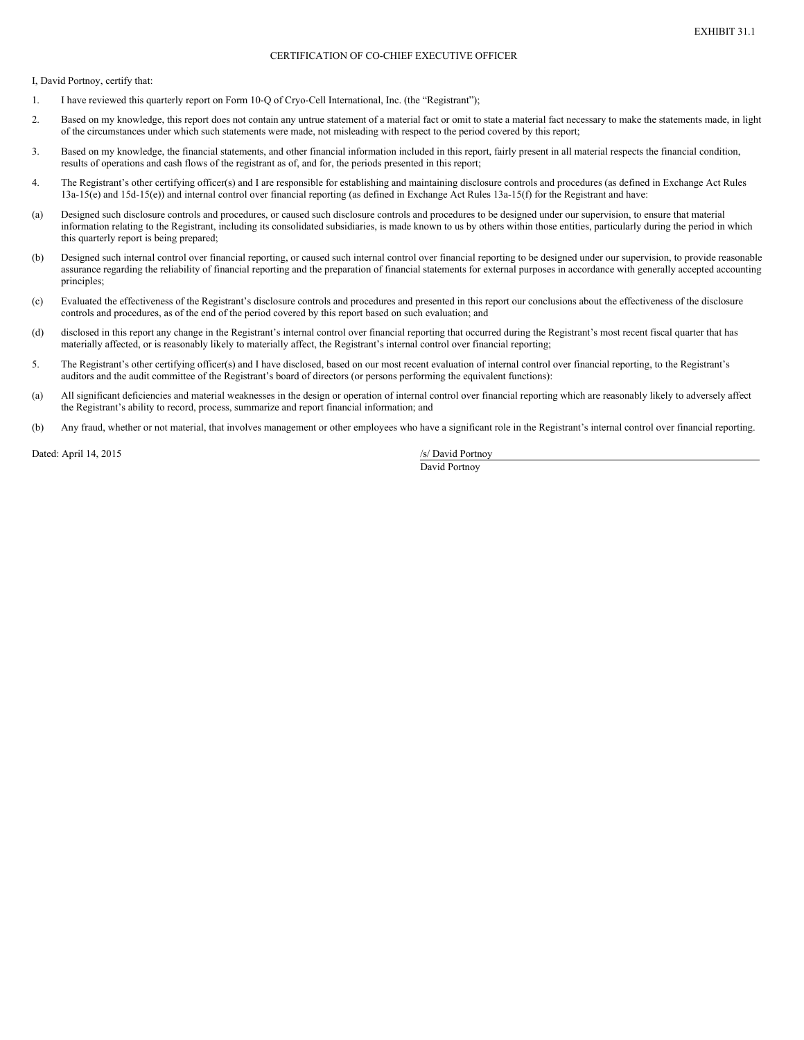## CERTIFICATION OF CO-CHIEF EXECUTIVE OFFICER

I, David Portnoy, certify that:

- 1. I have reviewed this quarterly report on Form 10-Q of Cryo-Cell International, Inc. (the "Registrant");
- 2. Based on my knowledge, this report does not contain any untrue statement of a material fact or omit to state a material fact necessary to make the statements made, in light of the circumstances under which such statements were made, not misleading with respect to the period covered by this report;
- 3. Based on my knowledge, the financial statements, and other financial information included in this report, fairly present in all material respects the financial condition, results of operations and cash flows of the registrant as of, and for, the periods presented in this report;
- 4. The Registrant's other certifying officer(s) and I are responsible for establishing and maintaining disclosure controls and procedures (as defined in Exchange Act Rules 13a-15(e) and 15d-15(e)) and internal control over financial reporting (as defined in Exchange Act Rules 13a-15(f) for the Registrant and have:
- (a) Designed such disclosure controls and procedures, or caused such disclosure controls and procedures to be designed under our supervision, to ensure that material information relating to the Registrant, including its consolidated subsidiaries, is made known to us by others within those entities, particularly during the period in which this quarterly report is being prepared;
- (b) Designed such internal control over financial reporting, or caused such internal control over financial reporting to be designed under our supervision, to provide reasonable assurance regarding the reliability of financial reporting and the preparation of financial statements for external purposes in accordance with generally accepted accounting principles;
- (c) Evaluated the effectiveness of the Registrant's disclosure controls and procedures and presented in this report our conclusions about the effectiveness of the disclosure controls and procedures, as of the end of the period covered by this report based on such evaluation; and
- (d) disclosed in this report any change in the Registrant's internal control over financial reporting that occurred during the Registrant's most recent fiscal quarter that has materially affected, or is reasonably likely to materially affect, the Registrant's internal control over financial reporting;
- 5. The Registrant's other certifying officer(s) and I have disclosed, based on our most recent evaluation of internal control over financial reporting, to the Registrant's auditors and the audit committee of the Registrant's board of directors (or persons performing the equivalent functions):
- (a) All significant deficiencies and material weaknesses in the design or operation of internal control over financial reporting which are reasonably likely to adversely affect the Registrant's ability to record, process, summarize and report financial information; and
- (b) Any fraud, whether or not material, that involves management or other employees who have a significant role in the Registrant's internal control over financial reporting.

Dated: April 14, 2015 /s/ David Portnoy

David Portnoy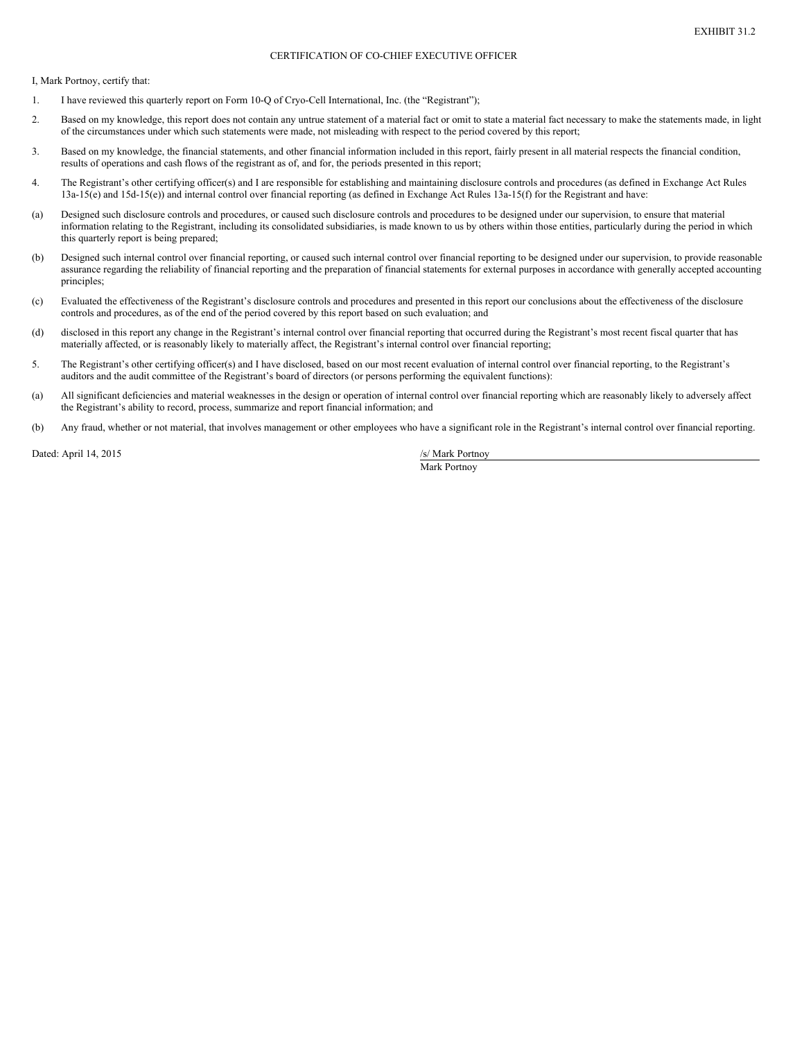## CERTIFICATION OF CO-CHIEF EXECUTIVE OFFICER

I, Mark Portnoy, certify that:

- 1. I have reviewed this quarterly report on Form 10-Q of Cryo-Cell International, Inc. (the "Registrant");
- 2. Based on my knowledge, this report does not contain any untrue statement of a material fact or omit to state a material fact necessary to make the statements made, in light of the circumstances under which such statements were made, not misleading with respect to the period covered by this report;
- 3. Based on my knowledge, the financial statements, and other financial information included in this report, fairly present in all material respects the financial condition, results of operations and cash flows of the registrant as of, and for, the periods presented in this report;
- 4. The Registrant's other certifying officer(s) and I are responsible for establishing and maintaining disclosure controls and procedures (as defined in Exchange Act Rules 13a-15(e) and 15d-15(e)) and internal control over financial reporting (as defined in Exchange Act Rules 13a-15(f) for the Registrant and have:
- (a) Designed such disclosure controls and procedures, or caused such disclosure controls and procedures to be designed under our supervision, to ensure that material information relating to the Registrant, including its consolidated subsidiaries, is made known to us by others within those entities, particularly during the period in which this quarterly report is being prepared;
- (b) Designed such internal control over financial reporting, or caused such internal control over financial reporting to be designed under our supervision, to provide reasonable assurance regarding the reliability of financial reporting and the preparation of financial statements for external purposes in accordance with generally accepted accounting principles;
- (c) Evaluated the effectiveness of the Registrant's disclosure controls and procedures and presented in this report our conclusions about the effectiveness of the disclosure controls and procedures, as of the end of the period covered by this report based on such evaluation; and
- (d) disclosed in this report any change in the Registrant's internal control over financial reporting that occurred during the Registrant's most recent fiscal quarter that has materially affected, or is reasonably likely to materially affect, the Registrant's internal control over financial reporting;
- 5. The Registrant's other certifying officer(s) and I have disclosed, based on our most recent evaluation of internal control over financial reporting, to the Registrant's auditors and the audit committee of the Registrant's board of directors (or persons performing the equivalent functions):
- (a) All significant deficiencies and material weaknesses in the design or operation of internal control over financial reporting which are reasonably likely to adversely affect the Registrant's ability to record, process, summarize and report financial information; and
- (b) Any fraud, whether or not material, that involves management or other employees who have a significant role in the Registrant's internal control over financial reporting.

Dated: April 14, 2015 /s/ Mark Portnoy

Mark Portnoy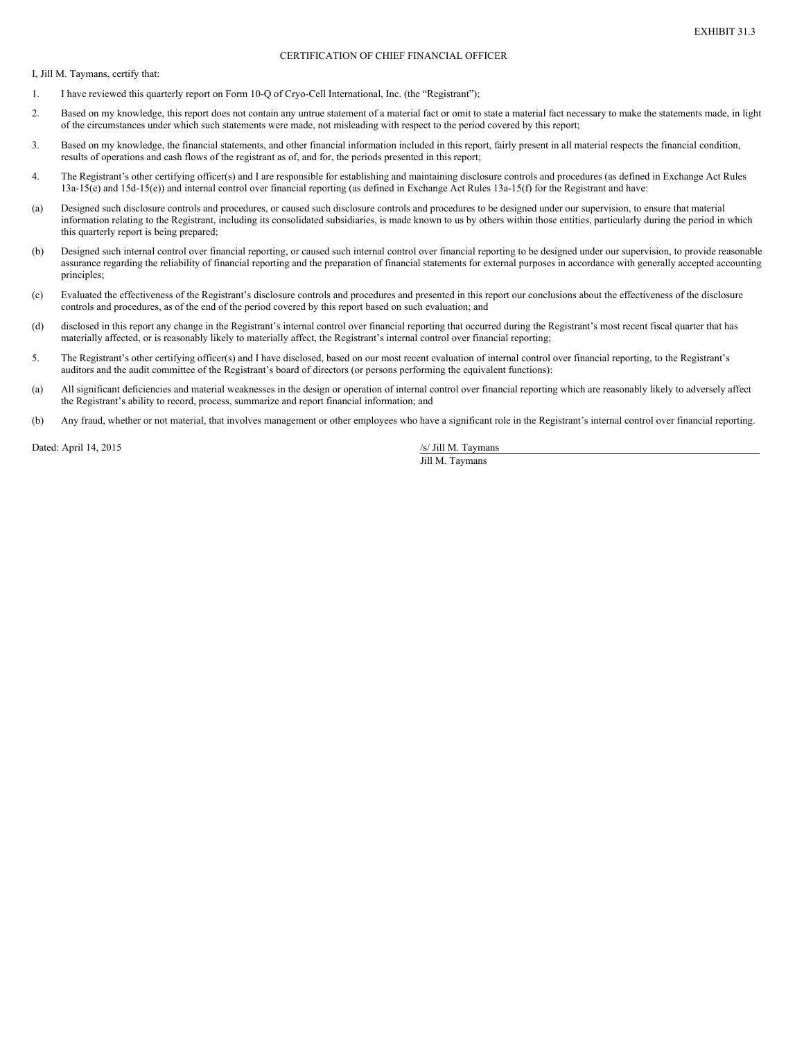#### CERTIFICATION OF CHIEF FINANCIAL OFFICER

I, Jill M. Taymans, certify that:

- 1. I have reviewed this quarterly report on Form 10-Q of Cryo-Cell International, Inc. (the "Registrant");
- 2. Based on my knowledge, this report does not contain any untrue statement of a material fact or omit to state a material fact necessary to make the statements made, in light of the circumstances under which such statements were made, not misleading with respect to the period covered by this report;
- 3. Based on my knowledge, the financial statements, and other financial information included in this report, fairly present in all material respects the financial condition, results of operations and cash flows of the registrant as of, and for, the periods presented in this report;
- 4. The Registrant's other certifying officer(s) and I are responsible for establishing and maintaining disclosure controls and procedures (as defined in Exchange Act Rules 13a-15(e) and 15d-15(e)) and internal control over financial reporting (as defined in Exchange Act Rules 13a-15(f) for the Registrant and have:
- (a) Designed such disclosure controls and procedures, or caused such disclosure controls and procedures to be designed under our supervision, to ensure that material information relating to the Registrant, including its consolidated subsidiaries, is made known to us by others within those entities, particularly during the period in which this quarterly report is being prepared;
- (b) Designed such internal control over financial reporting, or caused such internal control over financial reporting to be designed under our supervision, to provide reasonable assurance regarding the reliability of financial reporting and the preparation of financial statements for external purposes in accordance with generally accepted accounting principles;
- (c) Evaluated the effectiveness of the Registrant's disclosure controls and procedures and presented in this report our conclusions about the effectiveness of the disclosure controls and procedures, as of the end of the period covered by this report based on such evaluation; and
- (d) disclosed in this report any change in the Registrant's internal control over financial reporting that occurred during the Registrant's most recent fiscal quarter that has materially affected, or is reasonably likely to materially affect, the Registrant's internal control over financial reporting;
- 5. The Registrant's other certifying officer(s) and I have disclosed, based on our most recent evaluation of internal control over financial reporting, to the Registrant's auditors and the audit committee of the Registrant's board of directors (or persons performing the equivalent functions):
- (a) All significant deficiencies and material weaknesses in the design or operation of internal control over financial reporting which are reasonably likely to adversely affect the Registrant's ability to record, process, summarize and report financial information; and
- (b) Any fraud, whether or not material, that involves management or other employees who have a significant role in the Registrant's internal control over financial reporting.

Dated: April 14, 2015 /s/ Jill M. Taymans

Jill M. Taymans